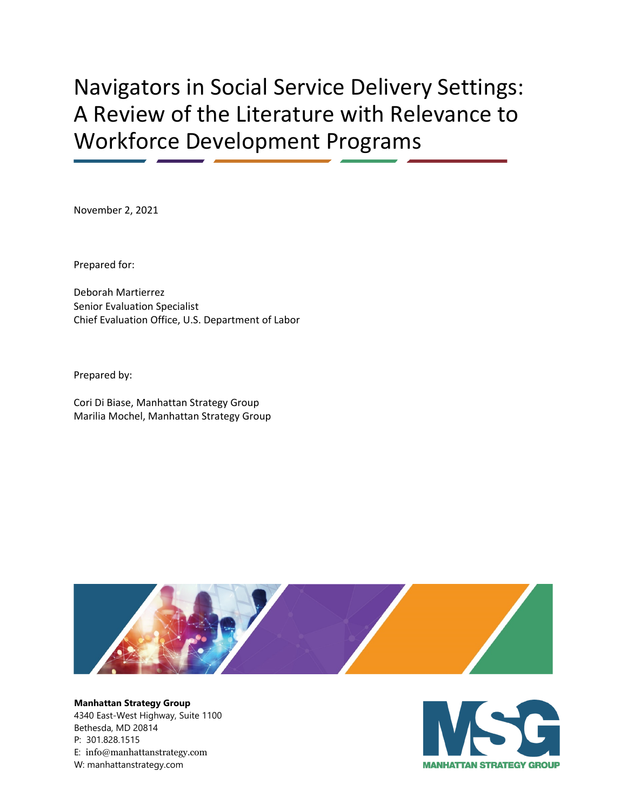# Navigators in Social Service Delivery Settings: A Review of the Literature with Relevance to Workforce Development Programs

November 2, 2021

Prepared for:

Deborah Martierrez Senior Evaluation Specialist Chief Evaluation Office, U.S. Department of Labor

Prepared by:

Cori Di Biase, Manhattan Strategy Group Marilia Mochel, Manhattan Strategy Group



**Manhattan Strategy Group** 4340 East-West Highway, Suite 1100 Bethesda, MD 20814 P: 301.828.1515 E: [info@manhattanstrategy.com](mailto:info@manhattanstrategy.com) W: manhattanstrategy.com

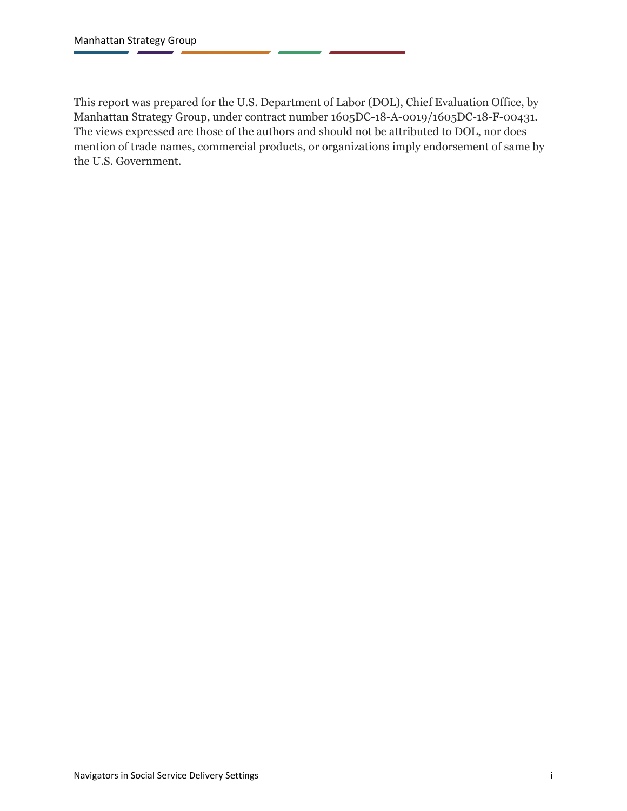This report was prepared for the U.S. Department of Labor (DOL), Chief Evaluation Office, by Manhattan Strategy Group, under contract number 1605DC-18-A-0019/1605DC-18-F-00431. The views expressed are those of the authors and should not be attributed to DOL, nor does mention of trade names, commercial products, or organizations imply endorsement of same by the U.S. Government.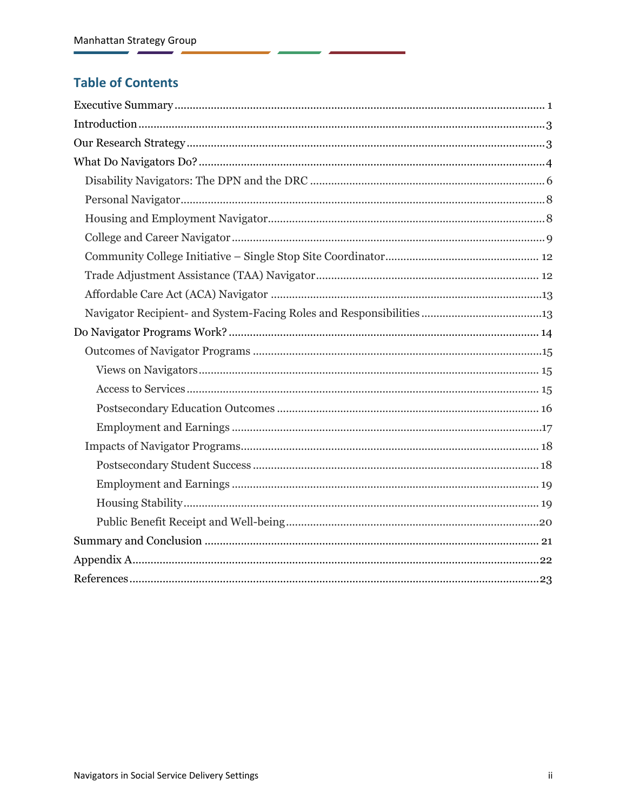#### **Table of Contents**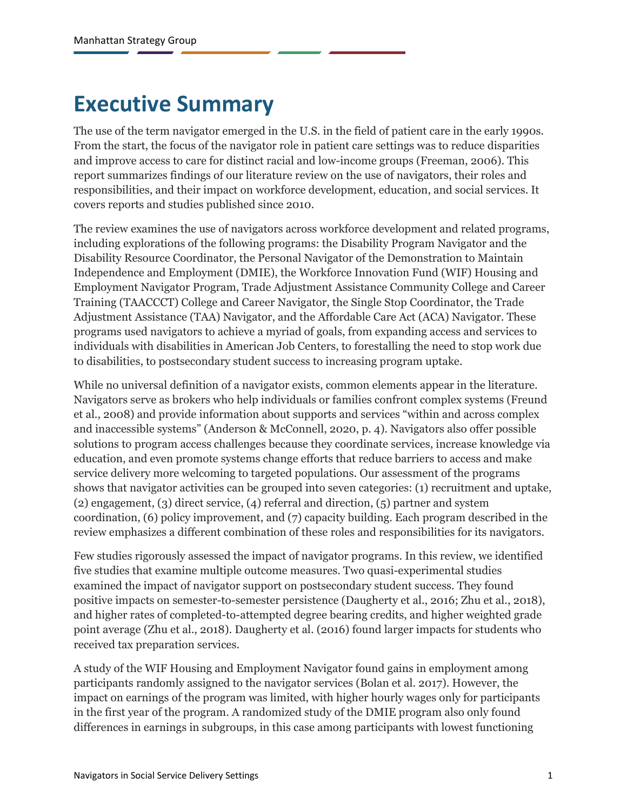## <span id="page-3-0"></span>**Executive Summary**

The use of the term navigator emerged in the U.S. in the field of patient care in the early 1990s. From the start, the focus of the navigator role in patient care settings was to reduce disparities and improve access to care for distinct racial and low-income groups (Freeman, 2006). This report summarizes findings of our literature review on the use of navigators, their roles and responsibilities, and their impact on workforce development, education, and social services. It covers reports and studies published since 2010.

The review examines the use of navigators across workforce development and related programs, including explorations of the following programs: the Disability Program Navigator and the Disability Resource Coordinator, the Personal Navigator of the Demonstration to Maintain Independence and Employment (DMIE), the Workforce Innovation Fund (WIF) Housing and Employment Navigator Program, Trade Adjustment Assistance Community College and Career Training (TAACCCT) College and Career Navigator, the Single Stop Coordinator, the Trade Adjustment Assistance (TAA) Navigator, and the Affordable Care Act (ACA) Navigator. These programs used navigators to achieve a myriad of goals, from expanding access and services to individuals with disabilities in American Job Centers, to forestalling the need to stop work due to disabilities, to postsecondary student success to increasing program uptake.

While no universal definition of a navigator exists, common elements appear in the literature. Navigators serve as brokers who help individuals or families confront complex systems (Freund et al., 2008) and provide information about supports and services "within and across complex and inaccessible systems" (Anderson & McConnell, 2020, p. 4). Navigators also offer possible solutions to program access challenges because they coordinate services, increase knowledge via education, and even promote systems change efforts that reduce barriers to access and make service delivery more welcoming to targeted populations. Our assessment of the programs shows that navigator activities can be grouped into seven categories: (1) recruitment and uptake, (2) engagement, (3) direct service, (4) referral and direction, (5) partner and system coordination, (6) policy improvement, and (7) capacity building. Each program described in the review emphasizes a different combination of these roles and responsibilities for its navigators.

Few studies rigorously assessed the impact of navigator programs. In this review, we identified five studies that examine multiple outcome measures. Two quasi-experimental studies examined the impact of navigator support on postsecondary student success. They found positive impacts on semester-to-semester persistence (Daugherty et al., 2016; Zhu et al., 2018), and higher rates of completed-to-attempted degree bearing credits, and higher weighted grade point average (Zhu et al., 2018). Daugherty et al. (2016) found larger impacts for students who received tax preparation services.

A study of the WIF Housing and Employment Navigator found gains in employment among participants randomly assigned to the navigator services (Bolan et al. 2017). However, the impact on earnings of the program was limited, with higher hourly wages only for participants in the first year of the program. A randomized study of the DMIE program also only found differences in earnings in subgroups, in this case among participants with lowest functioning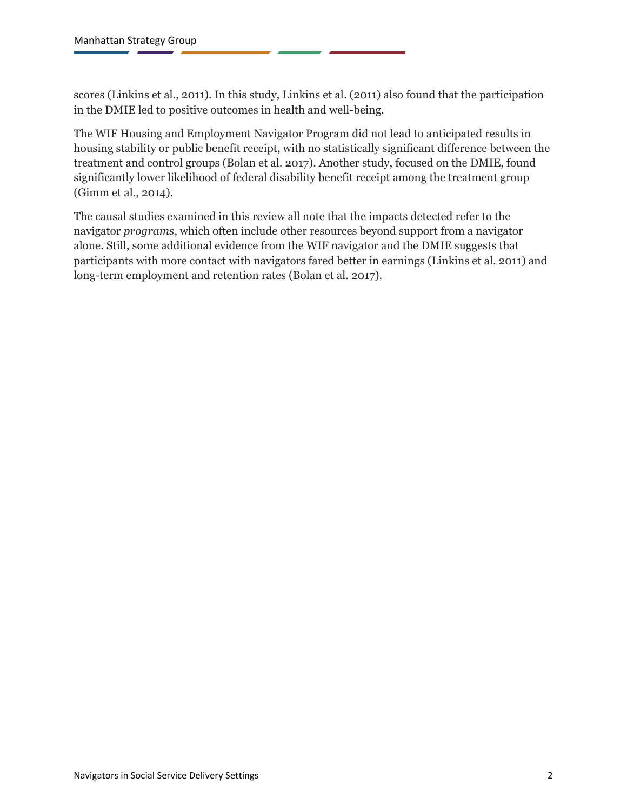scores (Linkins et al., 2011). In this study, Linkins et al. (2011) also found that the participation in the DMIE led to positive outcomes in health and well-being.

The WIF Housing and Employment Navigator Program did not lead to anticipated results in housing stability or public benefit receipt, with no statistically significant difference between the treatment and control groups (Bolan et al. 2017). Another study, focused on the DMIE, found significantly lower likelihood of federal disability benefit receipt among the treatment group (Gimm et al., 2014).

The causal studies examined in this review all note that the impacts detected refer to the navigator *programs*, which often include other resources beyond support from a navigator alone. Still, some additional evidence from the WIF navigator and the DMIE suggests that participants with more contact with navigators fared better in earnings (Linkins et al. 2011) and long-term employment and retention rates (Bolan et al. 2017).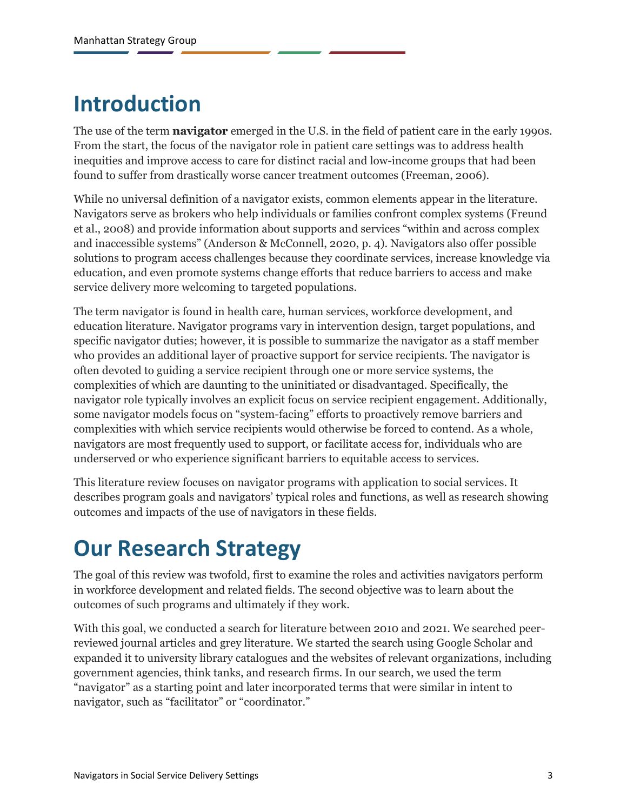# <span id="page-5-0"></span>**Introduction**

The use of the term **navigator** emerged in the U.S. in the field of patient care in the early 1990s. From the start, the focus of the navigator role in patient care settings was to address health inequities and improve access to care for distinct racial and low-income groups that had been found to suffer from drastically worse cancer treatment outcomes (Freeman, 2006).

While no universal definition of a navigator exists, common elements appear in the literature. Navigators serve as brokers who help individuals or families confront complex systems (Freund et al., 2008) and provide information about supports and services "within and across complex and inaccessible systems" (Anderson & McConnell, 2020, p. 4). Navigators also offer possible solutions to program access challenges because they coordinate services, increase knowledge via education, and even promote systems change efforts that reduce barriers to access and make service delivery more welcoming to targeted populations.

The term navigator is found in health care, human services, workforce development, and education literature. Navigator programs vary in intervention design, target populations, and specific navigator duties; however, it is possible to summarize the navigator as a staff member who provides an additional layer of proactive support for service recipients. The navigator is often devoted to guiding a service recipient through one or more service systems, the complexities of which are daunting to the uninitiated or disadvantaged. Specifically, the navigator role typically involves an explicit focus on service recipient engagement. Additionally, some navigator models focus on "system-facing" efforts to proactively remove barriers and complexities with which service recipients would otherwise be forced to contend. As a whole, navigators are most frequently used to support, or facilitate access for, individuals who are underserved or who experience significant barriers to equitable access to services.

This literature review focuses on navigator programs with application to social services. It describes program goals and navigators' typical roles and functions, as well as research showing outcomes and impacts of the use of navigators in these fields.

# <span id="page-5-1"></span>**Our Research Strategy**

The goal of this review was twofold, first to examine the roles and activities navigators perform in workforce development and related fields. The second objective was to learn about the outcomes of such programs and ultimately if they work.

With this goal, we conducted a search for literature between 2010 and 2021. We searched peerreviewed journal articles and grey literature. We started the search using Google Scholar and expanded it to university library catalogues and the websites of relevant organizations, including government agencies, think tanks, and research firms. In our search, we used the term "navigator" as a starting point and later incorporated terms that were similar in intent to navigator, such as "facilitator" or "coordinator."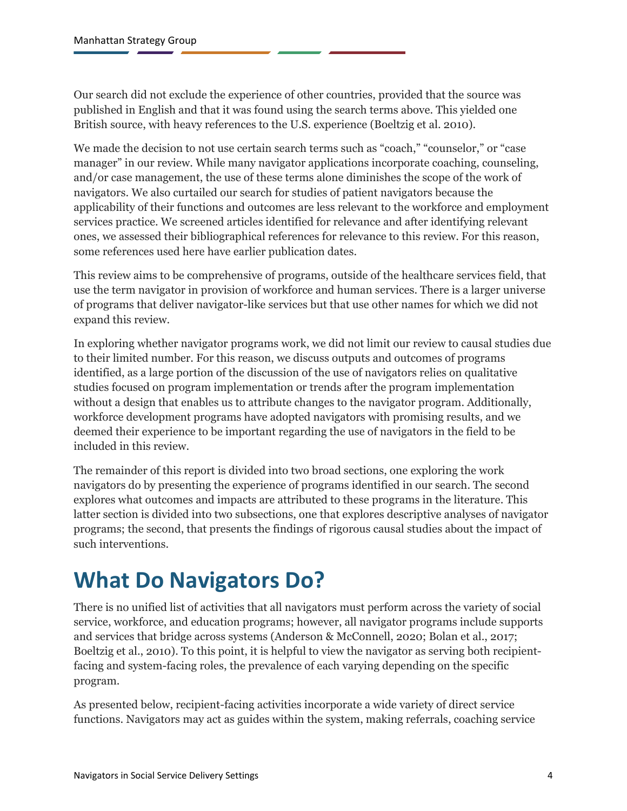Our search did not exclude the experience of other countries, provided that the source was published in English and that it was found using the search terms above. This yielded one British source, with heavy references to the U.S. experience (Boeltzig et al. 2010).

We made the decision to not use certain search terms such as "coach," "counselor," or "case manager" in our review. While many navigator applications incorporate coaching, counseling, and/or case management, the use of these terms alone diminishes the scope of the work of navigators. We also curtailed our search for studies of patient navigators because the applicability of their functions and outcomes are less relevant to the workforce and employment services practice. We screened articles identified for relevance and after identifying relevant ones, we assessed their bibliographical references for relevance to this review. For this reason, some references used here have earlier publication dates.

This review aims to be comprehensive of programs, outside of the healthcare services field, that use the term navigator in provision of workforce and human services. There is a larger universe of programs that deliver navigator-like services but that use other names for which we did not expand this review.

In exploring whether navigator programs work, we did not limit our review to causal studies due to their limited number. For this reason, we discuss outputs and outcomes of programs identified, as a large portion of the discussion of the use of navigators relies on qualitative studies focused on program implementation or trends after the program implementation without a design that enables us to attribute changes to the navigator program. Additionally, workforce development programs have adopted navigators with promising results, and we deemed their experience to be important regarding the use of navigators in the field to be included in this review.

The remainder of this report is divided into two broad sections, one exploring the work navigators do by presenting the experience of programs identified in our search. The second explores what outcomes and impacts are attributed to these programs in the literature. This latter section is divided into two subsections, one that explores descriptive analyses of navigator programs; the second, that presents the findings of rigorous causal studies about the impact of such interventions.

# <span id="page-6-0"></span>**What Do Navigators Do?**

There is no unified list of activities that all navigators must perform across the variety of social service, workforce, and education programs; however, all navigator programs include supports and services that bridge across systems (Anderson & McConnell, 2020; Bolan et al., 2017; Boeltzig et al., 2010). To this point, it is helpful to view the navigator as serving both recipientfacing and system-facing roles, the prevalence of each varying depending on the specific program.

As presented below, recipient-facing activities incorporate a wide variety of direct service functions. Navigators may act as guides within the system, making referrals, coaching service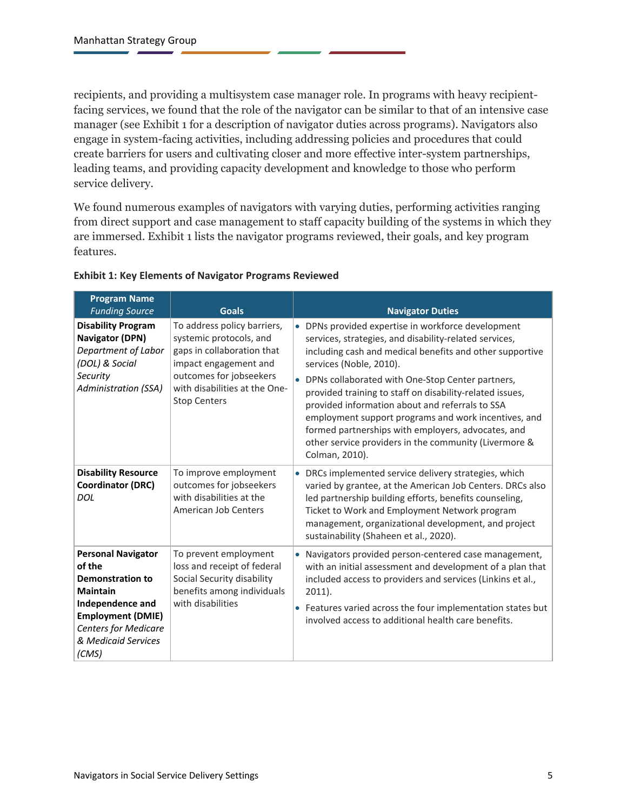recipients, and providing a multisystem case manager role. In programs with heavy recipientfacing services, we found that the role of the navigator can be similar to that of an intensive case manager (see Exhibit 1 for a description of navigator duties across programs). Navigators also engage in system-facing activities, including addressing policies and procedures that could create barriers for users and cultivating closer and more effective inter-system partnerships, leading teams, and providing capacity development and knowledge to those who perform service delivery.

We found numerous examples of navigators with varying duties, performing activities ranging from direct support and case management to staff capacity building of the systems in which they are immersed. Exhibit 1 lists the navigator programs reviewed, their goals, and key program features.

| <b>Program Name</b>                                                                                                                                                                              |                                                                                                                                                                                                  |           |                                                                                                                                                                                                                                                                                                                                                                                                                                                                                                                                                                   |
|--------------------------------------------------------------------------------------------------------------------------------------------------------------------------------------------------|--------------------------------------------------------------------------------------------------------------------------------------------------------------------------------------------------|-----------|-------------------------------------------------------------------------------------------------------------------------------------------------------------------------------------------------------------------------------------------------------------------------------------------------------------------------------------------------------------------------------------------------------------------------------------------------------------------------------------------------------------------------------------------------------------------|
| <b>Funding Source</b>                                                                                                                                                                            | <b>Goals</b>                                                                                                                                                                                     |           | <b>Navigator Duties</b>                                                                                                                                                                                                                                                                                                                                                                                                                                                                                                                                           |
| <b>Disability Program</b><br><b>Navigator (DPN)</b><br>Department of Labor<br>(DOL) & Social<br>Security<br><b>Administration (SSA)</b>                                                          | To address policy barriers,<br>systemic protocols, and<br>gaps in collaboration that<br>impact engagement and<br>outcomes for jobseekers<br>with disabilities at the One-<br><b>Stop Centers</b> |           | • DPNs provided expertise in workforce development<br>services, strategies, and disability-related services,<br>including cash and medical benefits and other supportive<br>services (Noble, 2010).<br>• DPNs collaborated with One-Stop Center partners,<br>provided training to staff on disability-related issues,<br>provided information about and referrals to SSA<br>employment support programs and work incentives, and<br>formed partnerships with employers, advocates, and<br>other service providers in the community (Livermore &<br>Colman, 2010). |
| <b>Disability Resource</b><br><b>Coordinator (DRC)</b><br><b>DOL</b>                                                                                                                             | To improve employment<br>outcomes for jobseekers<br>with disabilities at the<br><b>American Job Centers</b>                                                                                      |           | • DRCs implemented service delivery strategies, which<br>varied by grantee, at the American Job Centers. DRCs also<br>led partnership building efforts, benefits counseling,<br>Ticket to Work and Employment Network program<br>management, organizational development, and project<br>sustainability (Shaheen et al., 2020).                                                                                                                                                                                                                                    |
| <b>Personal Navigator</b><br>of the<br><b>Demonstration to</b><br><b>Maintain</b><br>Independence and<br><b>Employment (DMIE)</b><br><b>Centers for Medicare</b><br>& Medicaid Services<br>(CMS) | To prevent employment<br>loss and receipt of federal<br>Social Security disability<br>benefits among individuals<br>with disabilities                                                            | $\bullet$ | Navigators provided person-centered case management,<br>with an initial assessment and development of a plan that<br>included access to providers and services (Linkins et al.,<br>$2011$ ).<br>• Features varied across the four implementation states but<br>involved access to additional health care benefits.                                                                                                                                                                                                                                                |

#### **Exhibit 1: Key Elements of Navigator Programs Reviewed**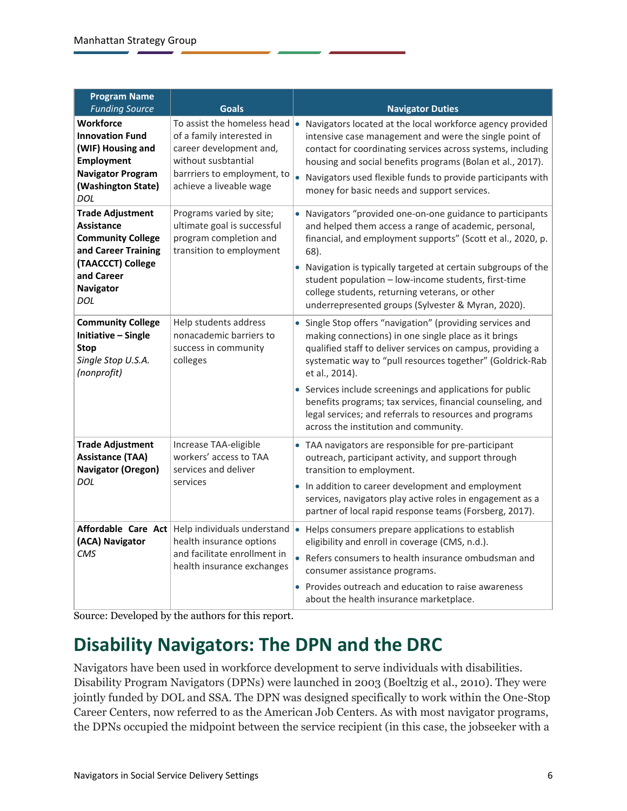| <b>Program Name</b><br><b>Funding Source</b>                                                                                                                         | <b>Goals</b>                                                                                                                                                         | <b>Navigator Duties</b>                                                                                                                                                                                                                                                                                                                                                                                                                                                                       |
|----------------------------------------------------------------------------------------------------------------------------------------------------------------------|----------------------------------------------------------------------------------------------------------------------------------------------------------------------|-----------------------------------------------------------------------------------------------------------------------------------------------------------------------------------------------------------------------------------------------------------------------------------------------------------------------------------------------------------------------------------------------------------------------------------------------------------------------------------------------|
| <b>Workforce</b><br><b>Innovation Fund</b><br>(WIF) Housing and<br><b>Employment</b><br><b>Navigator Program</b><br>(Washington State)<br>DOL                        | To assist the homeless head<br>of a family interested in<br>career development and,<br>without susbtantial<br>barrriers to employment, to<br>achieve a liveable wage | • Navigators located at the local workforce agency provided<br>intensive case management and were the single point of<br>contact for coordinating services across systems, including<br>housing and social benefits programs (Bolan et al., 2017).<br>• Navigators used flexible funds to provide participants with<br>money for basic needs and support services.                                                                                                                            |
| <b>Trade Adjustment</b><br><b>Assistance</b><br><b>Community College</b><br>and Career Training<br>(TAACCCT) College<br>and Career<br><b>Navigator</b><br><b>DOL</b> | Programs varied by site;<br>ultimate goal is successful<br>program completion and<br>transition to employment                                                        | • Navigators "provided one-on-one guidance to participants<br>and helped them access a range of academic, personal,<br>financial, and employment supports" (Scott et al., 2020, p.<br>68).<br>• Navigation is typically targeted at certain subgroups of the<br>student population - low-income students, first-time<br>college students, returning veterans, or other<br>underrepresented groups (Sylvester & Myran, 2020).                                                                  |
| <b>Community College</b><br>Initiative - Single<br><b>Stop</b><br>Single Stop U.S.A.<br>(nonprofit)                                                                  | Help students address<br>nonacademic barriers to<br>success in community<br>colleges                                                                                 | • Single Stop offers "navigation" (providing services and<br>making connections) in one single place as it brings<br>qualified staff to deliver services on campus, providing a<br>systematic way to "pull resources together" (Goldrick-Rab<br>et al., 2014).<br>• Services include screenings and applications for public<br>benefits programs; tax services, financial counseling, and<br>legal services; and referrals to resources and programs<br>across the institution and community. |
| <b>Trade Adjustment</b><br><b>Assistance (TAA)</b><br>Navigator (Oregon)<br>DOL                                                                                      | Increase TAA-eligible<br>workers' access to TAA<br>services and deliver<br>services                                                                                  | • TAA navigators are responsible for pre-participant<br>outreach, participant activity, and support through<br>transition to employment.<br>• In addition to career development and employment<br>services, navigators play active roles in engagement as a<br>partner of local rapid response teams (Forsberg, 2017).                                                                                                                                                                        |
| Affordable Care Act<br>(ACA) Navigator<br>CMS                                                                                                                        | Help individuals understand<br>health insurance options<br>and facilitate enrollment in<br>health insurance exchanges                                                | • Helps consumers prepare applications to establish<br>eligibility and enroll in coverage (CMS, n.d.).<br>• Refers consumers to health insurance ombudsman and<br>consumer assistance programs.<br>• Provides outreach and education to raise awareness<br>about the health insurance marketplace.                                                                                                                                                                                            |

<span id="page-8-0"></span>Source: Developed by the authors for this report.

### **Disability Navigators: The DPN and the DRC**

Navigators have been used in workforce development to serve individuals with disabilities. Disability Program Navigators (DPNs) were launched in 2003 (Boeltzig et al., 2010). They were jointly funded by DOL and SSA. The DPN was designed specifically to work within the One-Stop Career Centers, now referred to as the American Job Centers. As with most navigator programs, the DPNs occupied the midpoint between the service recipient (in this case, the jobseeker with a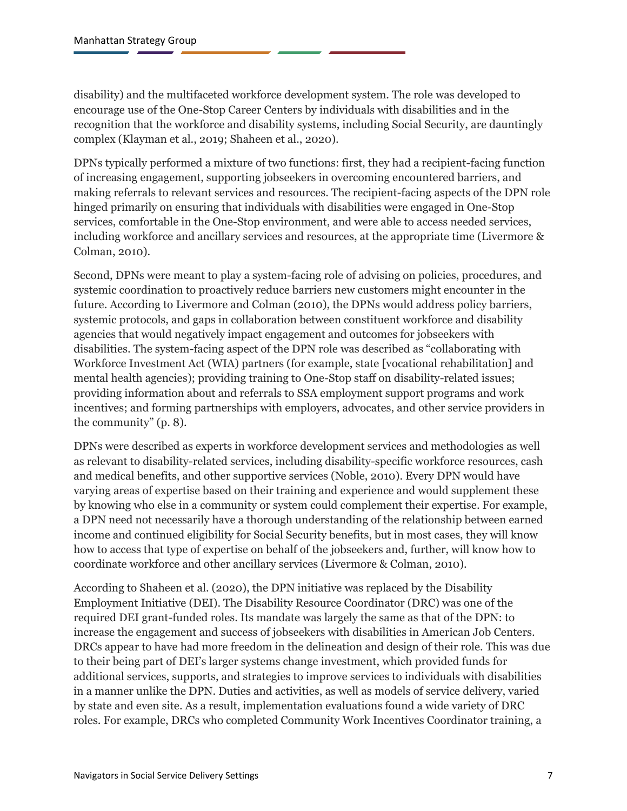disability) and the multifaceted workforce development system. The role was developed to encourage use of the One-Stop Career Centers by individuals with disabilities and in the recognition that the workforce and disability systems, including Social Security, are dauntingly complex (Klayman et al., 2019; Shaheen et al., 2020).

DPNs typically performed a mixture of two functions: first, they had a recipient-facing function of increasing engagement, supporting jobseekers in overcoming encountered barriers, and making referrals to relevant services and resources. The recipient-facing aspects of the DPN role hinged primarily on ensuring that individuals with disabilities were engaged in One-Stop services, comfortable in the One-Stop environment, and were able to access needed services, including workforce and ancillary services and resources, at the appropriate time (Livermore & Colman, 2010).

Second, DPNs were meant to play a system-facing role of advising on policies, procedures, and systemic coordination to proactively reduce barriers new customers might encounter in the future. According to Livermore and Colman (2010), the DPNs would address policy barriers, systemic protocols, and gaps in collaboration between constituent workforce and disability agencies that would negatively impact engagement and outcomes for jobseekers with disabilities. The system-facing aspect of the DPN role was described as "collaborating with Workforce Investment Act (WIA) partners (for example, state [vocational rehabilitation] and mental health agencies); providing training to One-Stop staff on disability-related issues; providing information about and referrals to SSA employment support programs and work incentives; and forming partnerships with employers, advocates, and other service providers in the community" (p. 8).

DPNs were described as experts in workforce development services and methodologies as well as relevant to disability-related services, including disability-specific workforce resources, cash and medical benefits, and other supportive services (Noble, 2010). Every DPN would have varying areas of expertise based on their training and experience and would supplement these by knowing who else in a community or system could complement their expertise. For example, a DPN need not necessarily have a thorough understanding of the relationship between earned income and continued eligibility for Social Security benefits, but in most cases, they will know how to access that type of expertise on behalf of the jobseekers and, further, will know how to coordinate workforce and other ancillary services (Livermore & Colman, 2010).

According to Shaheen et al. (2020), the DPN initiative was replaced by the Disability Employment Initiative (DEI). The Disability Resource Coordinator (DRC) was one of the required DEI grant-funded roles. Its mandate was largely the same as that of the DPN: to increase the engagement and success of jobseekers with disabilities in American Job Centers. DRCs appear to have had more freedom in the delineation and design of their role. This was due to their being part of DEI's larger systems change investment, which provided funds for additional services, supports, and strategies to improve services to individuals with disabilities in a manner unlike the DPN. Duties and activities, as well as models of service delivery, varied by state and even site. As a result, implementation evaluations found a wide variety of DRC roles. For example, DRCs who completed Community Work Incentives Coordinator training, a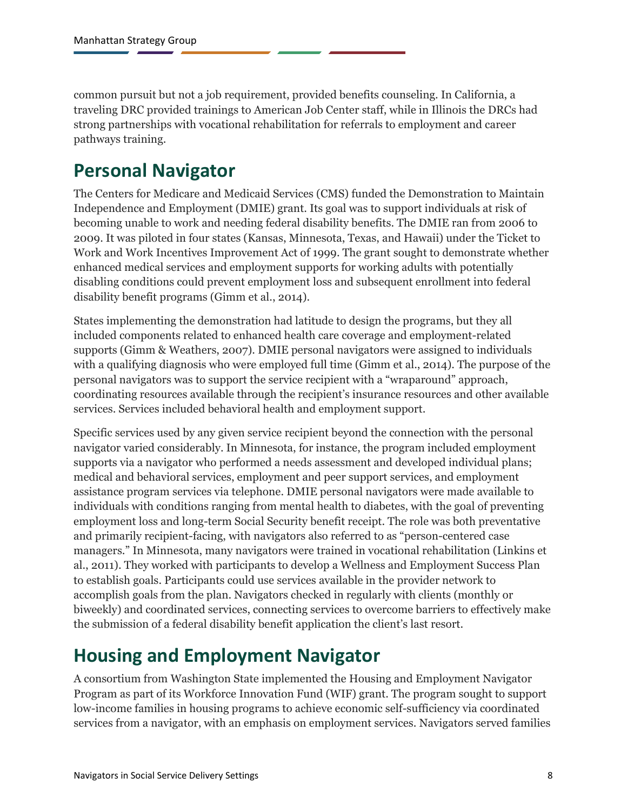common pursuit but not a job requirement, provided benefits counseling. In California, a traveling DRC provided trainings to American Job Center staff, while in Illinois the DRCs had strong partnerships with vocational rehabilitation for referrals to employment and career pathways training.

### <span id="page-10-0"></span>**Personal Navigator**

The Centers for Medicare and Medicaid Services (CMS) funded the Demonstration to Maintain Independence and Employment (DMIE) grant. Its goal was to support individuals at risk of becoming unable to work and needing federal disability benefits. The DMIE ran from 2006 to 2009. It was piloted in four states (Kansas, Minnesota, Texas, and Hawaii) under the Ticket to Work and Work Incentives Improvement Act of 1999. The grant sought to demonstrate whether enhanced medical services and employment supports for working adults with potentially disabling conditions could prevent employment loss and subsequent enrollment into federal disability benefit programs (Gimm et al., 2014).

States implementing the demonstration had latitude to design the programs, but they all included components related to enhanced health care coverage and employment-related supports (Gimm & Weathers, 2007). DMIE personal navigators were assigned to individuals with a qualifying diagnosis who were employed full time (Gimm et al., 2014). The purpose of the personal navigators was to support the service recipient with a "wraparound" approach, coordinating resources available through the recipient's insurance resources and other available services. Services included behavioral health and employment support.

Specific services used by any given service recipient beyond the connection with the personal navigator varied considerably. In Minnesota, for instance, the program included employment supports via a navigator who performed a needs assessment and developed individual plans; medical and behavioral services, employment and peer support services, and employment assistance program services via telephone. DMIE personal navigators were made available to individuals with conditions ranging from mental health to diabetes, with the goal of preventing employment loss and long-term Social Security benefit receipt. The role was both preventative and primarily recipient-facing, with navigators also referred to as "person-centered case managers." In Minnesota, many navigators were trained in vocational rehabilitation (Linkins et al., 2011). They worked with participants to develop a Wellness and Employment Success Plan to establish goals. Participants could use services available in the provider network to accomplish goals from the plan. Navigators checked in regularly with clients (monthly or biweekly) and coordinated services, connecting services to overcome barriers to effectively make the submission of a federal disability benefit application the client's last resort.

## <span id="page-10-1"></span>**Housing and Employment Navigator**

A consortium from Washington State implemented the Housing and Employment Navigator Program as part of its Workforce Innovation Fund (WIF) grant. The program sought to support low-income families in housing programs to achieve economic self-sufficiency via coordinated services from a navigator, with an emphasis on employment services. Navigators served families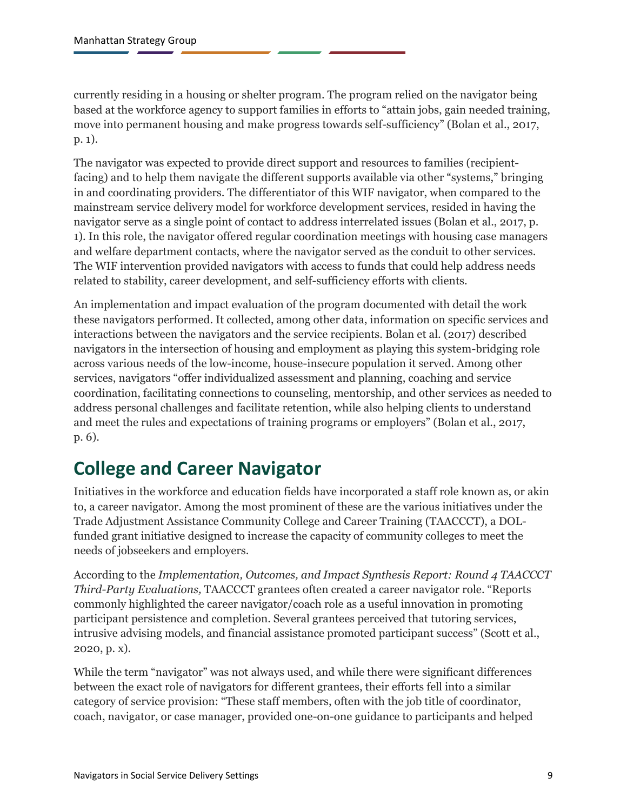currently residing in a housing or shelter program. The program relied on the navigator being based at the workforce agency to support families in efforts to "attain jobs, gain needed training, move into permanent housing and make progress towards self-sufficiency" (Bolan et al., 2017, p. 1).

The navigator was expected to provide direct support and resources to families (recipientfacing) and to help them navigate the different supports available via other "systems," bringing in and coordinating providers. The differentiator of this WIF navigator, when compared to the mainstream service delivery model for workforce development services, resided in having the navigator serve as a single point of contact to address interrelated issues (Bolan et al., 2017, p. 1). In this role, the navigator offered regular coordination meetings with housing case managers and welfare department contacts, where the navigator served as the conduit to other services. The WIF intervention provided navigators with access to funds that could help address needs related to stability, career development, and self-sufficiency efforts with clients.

An implementation and impact evaluation of the program documented with detail the work these navigators performed. It collected, among other data, information on specific services and interactions between the navigators and the service recipients. Bolan et al. (2017) described navigators in the intersection of housing and employment as playing this system-bridging role across various needs of the low-income, house-insecure population it served. Among other services, navigators "offer individualized assessment and planning, coaching and service coordination, facilitating connections to counseling, mentorship, and other services as needed to address personal challenges and facilitate retention, while also helping clients to understand and meet the rules and expectations of training programs or employers" (Bolan et al., 2017, p. 6).

## <span id="page-11-0"></span>**College and Career Navigator**

Initiatives in the workforce and education fields have incorporated a staff role known as, or akin to, a career navigator. Among the most prominent of these are the various initiatives under the Trade Adjustment Assistance Community College and Career Training (TAACCCT), a DOLfunded grant initiative designed to increase the capacity of community colleges to meet the needs of jobseekers and employers.

According to the *Implementation, Outcomes, and Impact Synthesis Report: Round 4 TAACCCT Third-Party Evaluations,* TAACCCT grantees often created a career navigator role. "Reports commonly highlighted the career navigator/coach role as a useful innovation in promoting participant persistence and completion. Several grantees perceived that tutoring services, intrusive advising models, and financial assistance promoted participant success" (Scott et al., 2020, p. x).

While the term "navigator" was not always used, and while there were significant differences between the exact role of navigators for different grantees, their efforts fell into a similar category of service provision: "These staff members, often with the job title of coordinator, coach, navigator, or case manager, provided one-on-one guidance to participants and helped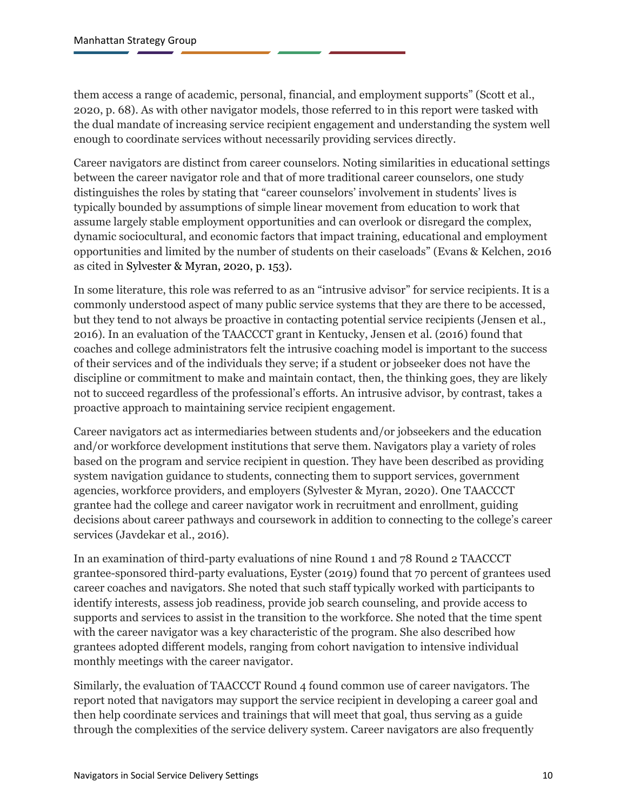them access a range of academic, personal, financial, and employment supports" (Scott et al., 2020, p. 68). As with other navigator models, those referred to in this report were tasked with the dual mandate of increasing service recipient engagement and understanding the system well enough to coordinate services without necessarily providing services directly.

Career navigators are distinct from career counselors. Noting similarities in educational settings between the career navigator role and that of more traditional career counselors, one study distinguishes the roles by stating that "career counselors' involvement in students' lives is typically bounded by assumptions of simple linear movement from education to work that assume largely stable employment opportunities and can overlook or disregard the complex, dynamic sociocultural, and economic factors that impact training, educational and employment opportunities and limited by the number of students on their caseloads" (Evans & Kelchen, 2016 as cited in Sylvester & Myran, 2020, p. 153).

In some literature, this role was referred to as an "intrusive advisor" for service recipients. It is a commonly understood aspect of many public service systems that they are there to be accessed, but they tend to not always be proactive in contacting potential service recipients (Jensen et al., 2016). In an evaluation of the TAACCCT grant in Kentucky, Jensen et al. (2016) found that coaches and college administrators felt the intrusive coaching model is important to the success of their services and of the individuals they serve; if a student or jobseeker does not have the discipline or commitment to make and maintain contact, then, the thinking goes, they are likely not to succeed regardless of the professional's efforts. An intrusive advisor, by contrast, takes a proactive approach to maintaining service recipient engagement.

Career navigators act as intermediaries between students and/or jobseekers and the education and/or workforce development institutions that serve them. Navigators play a variety of roles based on the program and service recipient in question. They have been described as providing system navigation guidance to students, connecting them to support services, government agencies, workforce providers, and employers (Sylvester & Myran, 2020). One TAACCCT grantee had the college and career navigator work in recruitment and enrollment, guiding decisions about career pathways and coursework in addition to connecting to the college's career services (Javdekar et al., 2016).

In an examination of third-party evaluations of nine Round 1 and 78 Round 2 TAACCCT grantee-sponsored third-party evaluations, Eyster (2019) found that 70 percent of grantees used career coaches and navigators. She noted that such staff typically worked with participants to identify interests, assess job readiness, provide job search counseling, and provide access to supports and services to assist in the transition to the workforce. She noted that the time spent with the career navigator was a key characteristic of the program. She also described how grantees adopted different models, ranging from cohort navigation to intensive individual monthly meetings with the career navigator.

Similarly, the evaluation of TAACCCT Round 4 found common use of career navigators. The report noted that navigators may support the service recipient in developing a career goal and then help coordinate services and trainings that will meet that goal, thus serving as a guide through the complexities of the service delivery system. Career navigators are also frequently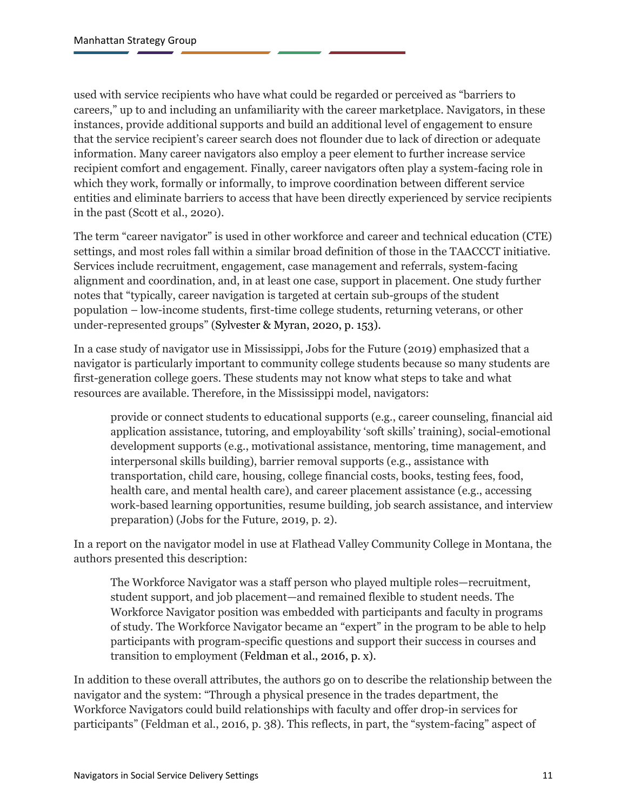used with service recipients who have what could be regarded or perceived as "barriers to careers," up to and including an unfamiliarity with the career marketplace. Navigators, in these instances, provide additional supports and build an additional level of engagement to ensure that the service recipient's career search does not flounder due to lack of direction or adequate information. Many career navigators also employ a peer element to further increase service recipient comfort and engagement. Finally, career navigators often play a system-facing role in which they work, formally or informally, to improve coordination between different service entities and eliminate barriers to access that have been directly experienced by service recipients in the past (Scott et al., 2020).

The term "career navigator" is used in other workforce and career and technical education (CTE) settings, and most roles fall within a similar broad definition of those in the TAACCCT initiative. Services include recruitment, engagement, case management and referrals, system-facing alignment and coordination, and, in at least one case, support in placement. One study further notes that "typically, career navigation is targeted at certain sub-groups of the student population – low-income students, first-time college students, returning veterans, or other under-represented groups" (Sylvester & Myran, 2020, p. 153).

In a case study of navigator use in Mississippi, Jobs for the Future (2019) emphasized that a navigator is particularly important to community college students because so many students are first-generation college goers. These students may not know what steps to take and what resources are available. Therefore, in the Mississippi model, navigators:

provide or connect students to educational supports (e.g., career counseling, financial aid application assistance, tutoring, and employability 'soft skills' training), social-emotional development supports (e.g., motivational assistance, mentoring, time management, and interpersonal skills building), barrier removal supports (e.g., assistance with transportation, child care, housing, college financial costs, books, testing fees, food, health care, and mental health care), and career placement assistance (e.g., accessing work-based learning opportunities, resume building, job search assistance, and interview preparation) (Jobs for the Future, 2019, p. 2).

In a report on the navigator model in use at Flathead Valley Community College in Montana, the authors presented this description:

The Workforce Navigator was a staff person who played multiple roles—recruitment, student support, and job placement—and remained flexible to student needs. The Workforce Navigator position was embedded with participants and faculty in programs of study. The Workforce Navigator became an "expert" in the program to be able to help participants with program-specific questions and support their success in courses and transition to employment (Feldman et al., 2016, p. x).

In addition to these overall attributes, the authors go on to describe the relationship between the navigator and the system: "Through a physical presence in the trades department, the Workforce Navigators could build relationships with faculty and offer drop-in services for participants" (Feldman et al., 2016, p. 38). This reflects, in part, the "system-facing" aspect of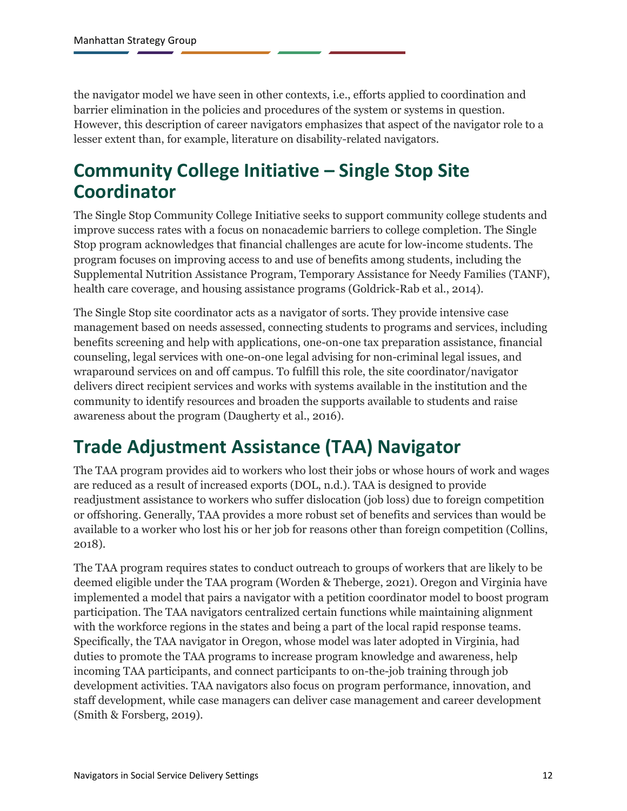the navigator model we have seen in other contexts, i.e., efforts applied to coordination and barrier elimination in the policies and procedures of the system or systems in question. However, this description of career navigators emphasizes that aspect of the navigator role to a lesser extent than, for example, literature on disability-related navigators.

### <span id="page-14-0"></span>**Community College Initiative – Single Stop Site Coordinator**

The Single Stop Community College Initiative seeks to support community college students and improve success rates with a focus on nonacademic barriers to college completion. The Single Stop program acknowledges that financial challenges are acute for low-income students. The program focuses on improving access to and use of benefits among students, including the Supplemental Nutrition Assistance Program, Temporary Assistance for Needy Families (TANF), health care coverage, and housing assistance programs (Goldrick-Rab et al., 2014).

The Single Stop site coordinator acts as a navigator of sorts. They provide intensive case management based on needs assessed, connecting students to programs and services, including benefits screening and help with applications, one-on-one tax preparation assistance, financial counseling, legal services with one-on-one legal advising for non-criminal legal issues, and wraparound services on and off campus. To fulfill this role, the site coordinator/navigator delivers direct recipient services and works with systems available in the institution and the community to identify resources and broaden the supports available to students and raise awareness about the program (Daugherty et al., 2016).

### <span id="page-14-1"></span>**Trade Adjustment Assistance (TAA) Navigator**

The TAA program provides aid to workers who lost their jobs or whose hours of work and wages are reduced as a result of increased exports (DOL, n.d.). TAA is designed to provide readjustment assistance to workers who suffer dislocation (job loss) due to foreign competition or offshoring. Generally, TAA provides a more robust set of benefits and services than would be available to a worker who lost his or her job for reasons other than foreign competition (Collins, 2018).

The TAA program requires states to conduct outreach to groups of workers that are likely to be deemed eligible under the TAA program (Worden & Theberge, 2021). Oregon and Virginia have implemented a model that pairs a navigator with a petition coordinator model to boost program participation. The TAA navigators centralized certain functions while maintaining alignment with the workforce regions in the states and being a part of the local rapid response teams. Specifically, the TAA navigator in Oregon, whose model was later adopted in Virginia, had duties to promote the TAA programs to increase program knowledge and awareness, help incoming TAA participants, and connect participants to on-the-job training through job development activities. TAA navigators also focus on program performance, innovation, and staff development, while case managers can deliver case management and career development (Smith & Forsberg, 2019).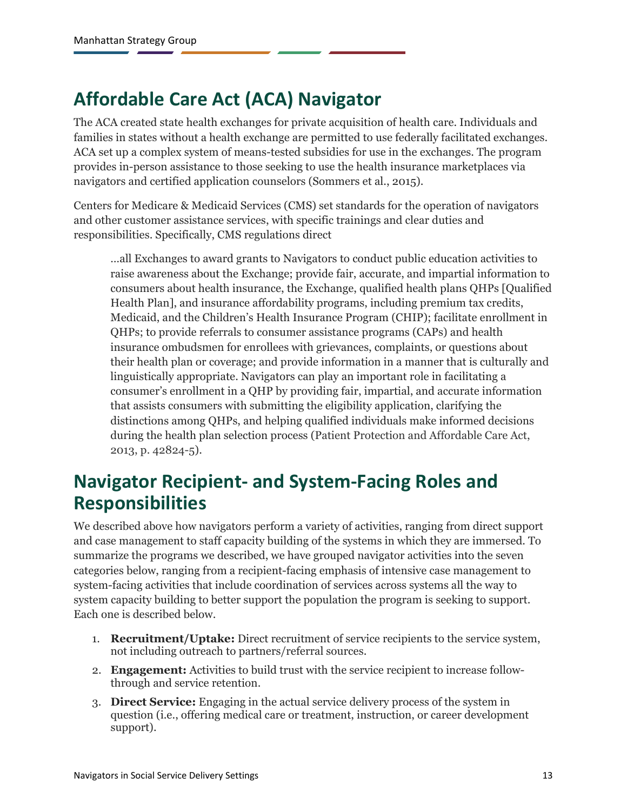## <span id="page-15-0"></span>**Affordable Care Act (ACA) Navigator**

The ACA created state health exchanges for private acquisition of health care. Individuals and families in states without a health exchange are permitted to use federally facilitated exchanges. ACA set up a complex system of means-tested subsidies for use in the exchanges. The program provides in-person assistance to those seeking to use the health insurance marketplaces via navigators and certified application counselors (Sommers et al., 2015).

Centers for Medicare & Medicaid Services (CMS) set standards for the operation of navigators and other customer assistance services, with specific trainings and clear duties and responsibilities. Specifically, CMS regulations direct

…all Exchanges to award grants to Navigators to conduct public education activities to raise awareness about the Exchange; provide fair, accurate, and impartial information to consumers about health insurance, the Exchange, qualified health plans QHPs [Qualified Health Plan], and insurance affordability programs, including premium tax credits, Medicaid, and the Children's Health Insurance Program (CHIP); facilitate enrollment in QHPs; to provide referrals to consumer assistance programs (CAPs) and health insurance ombudsmen for enrollees with grievances, complaints, or questions about their health plan or coverage; and provide information in a manner that is culturally and linguistically appropriate. Navigators can play an important role in facilitating a consumer's enrollment in a QHP by providing fair, impartial, and accurate information that assists consumers with submitting the eligibility application, clarifying the distinctions among QHPs, and helping qualified individuals make informed decisions during the health plan selection process (Patient Protection and Affordable Care Act, 2013, p. 42824-5).

### <span id="page-15-1"></span>**Navigator Recipient- and System-Facing Roles and Responsibilities**

We described above how navigators perform a variety of activities, ranging from direct support and case management to staff capacity building of the systems in which they are immersed. To summarize the programs we described, we have grouped navigator activities into the seven categories below, ranging from a recipient-facing emphasis of intensive case management to system-facing activities that include coordination of services across systems all the way to system capacity building to better support the population the program is seeking to support. Each one is described below.

- 1. **Recruitment/Uptake:** Direct recruitment of service recipients to the service system, not including outreach to partners/referral sources.
- 2. **Engagement:** Activities to build trust with the service recipient to increase followthrough and service retention.
- 3. **Direct Service:** Engaging in the actual service delivery process of the system in question (i.e., offering medical care or treatment, instruction, or career development support).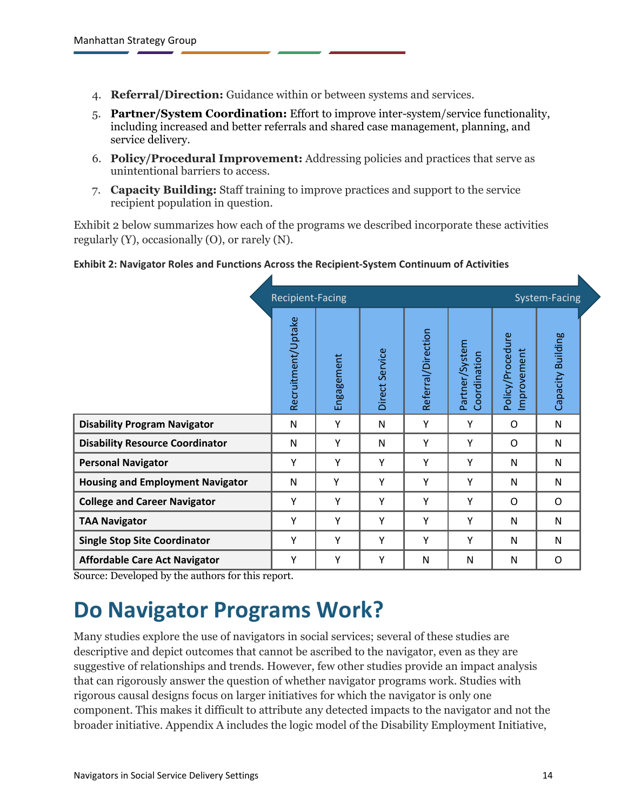- 4. **Referral/Direction:** Guidance within or between systems and services.
- 5. **Partner/System Coordination:** Effort to improve inter-system/service functionality, including increased and better referrals and shared case management, planning, and service delivery.
- 6. **Policy/Procedural Improvement:** Addressing policies and practices that serve as unintentional barriers to access.
- 7. **Capacity Building:** Staff training to improve practices and support to the service recipient population in question.

Exhibit 2 below summarizes how each of the programs we described incorporate these activities regularly (Y), occasionally (O), or rarely (N).

#### **Exhibit 2: Navigator Roles and Functions Across the Recipient-System Continuum of Activities**

|                                         | <b>Recipient-Facing</b> |            |                |                    | System-Facing                  |                                |                   |  |
|-----------------------------------------|-------------------------|------------|----------------|--------------------|--------------------------------|--------------------------------|-------------------|--|
|                                         | Recruitment/Uptake      | Engagement | Direct Service | Referral/Direction | Partner/System<br>Coordination | Policy/Procedure<br>mprovement | Capacity Building |  |
| <b>Disability Program Navigator</b>     | N                       | Υ          | N              | Υ                  | Υ                              | O                              | N                 |  |
| <b>Disability Resource Coordinator</b>  | $\mathsf{N}$            | Υ          | N              | Y                  | Υ                              | O                              | N                 |  |
| <b>Personal Navigator</b>               | Υ                       | Υ          | Y              | Y                  | Y                              | N                              | N                 |  |
| <b>Housing and Employment Navigator</b> | N                       | Y          | Y              | Y                  | Y                              | N                              | N                 |  |
| <b>College and Career Navigator</b>     | Υ                       | Υ          | Y              | Y                  | Y                              | O                              | O                 |  |
| <b>TAA Navigator</b>                    | Υ                       | Υ          | Y              | Y                  | Y                              | N                              | N                 |  |
| <b>Single Stop Site Coordinator</b>     | Υ                       | Υ          | Y              | Y                  | Y                              | N                              | N                 |  |
| <b>Affordable Care Act Navigator</b>    | Υ                       | Υ          | Y              | N                  | N                              | N                              | O                 |  |

<span id="page-16-0"></span>Source: Developed by the authors for this report.

## **Do Navigator Programs Work?**

Many studies explore the use of navigators in social services; several of these studies are descriptive and depict outcomes that cannot be ascribed to the navigator, even as they are suggestive of relationships and trends. However, few other studies provide an impact analysis that can rigorously answer the question of whether navigator programs work. Studies with rigorous causal designs focus on larger initiatives for which the navigator is only one component. This makes it difficult to attribute any detected impacts to the navigator and not the broader initiative. Appendix A includes the logic model of the Disability Employment Initiative,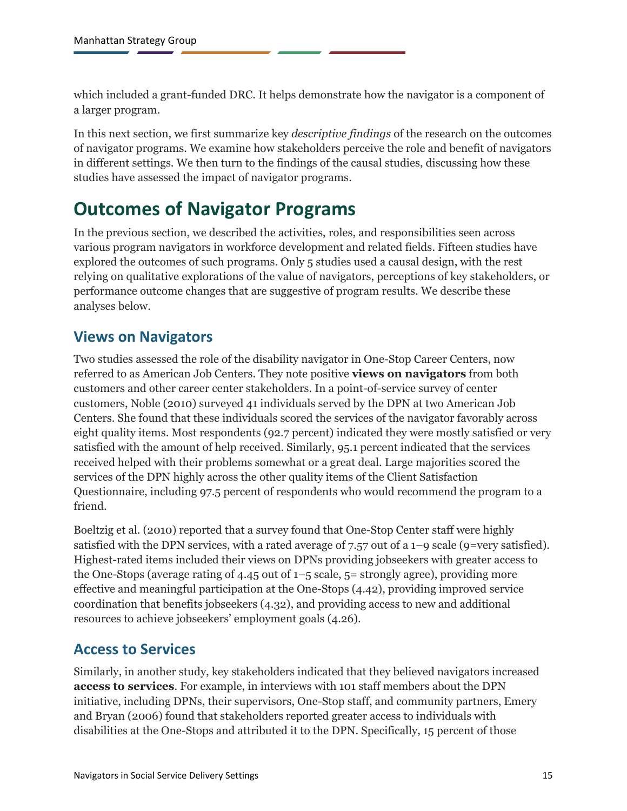which included a grant-funded DRC. It helps demonstrate how the navigator is a component of a larger program.

In this next section, we first summarize key *descriptive findings* of the research on the outcomes of navigator programs. We examine how stakeholders perceive the role and benefit of navigators in different settings. We then turn to the findings of the causal studies, discussing how these studies have assessed the impact of navigator programs.

### <span id="page-17-0"></span>**Outcomes of Navigator Programs**

In the previous section, we described the activities, roles, and responsibilities seen across various program navigators in workforce development and related fields. Fifteen studies have explored the outcomes of such programs. Only 5 studies used a causal design, with the rest relying on qualitative explorations of the value of navigators, perceptions of key stakeholders, or performance outcome changes that are suggestive of program results. We describe these analyses below.

#### <span id="page-17-1"></span>**Views on Navigators**

Two studies assessed the role of the disability navigator in One-Stop Career Centers, now referred to as American Job Centers. They note positive **views on navigators** from both customers and other career center stakeholders. In a point-of-service survey of center customers, Noble (2010) surveyed 41 individuals served by the DPN at two American Job Centers. She found that these individuals scored the services of the navigator favorably across eight quality items. Most respondents (92.7 percent) indicated they were mostly satisfied or very satisfied with the amount of help received. Similarly, 95.1 percent indicated that the services received helped with their problems somewhat or a great deal. Large majorities scored the services of the DPN highly across the other quality items of the Client Satisfaction Questionnaire, including 97.5 percent of respondents who would recommend the program to a friend.

Boeltzig et al. (2010) reported that a survey found that One-Stop Center staff were highly satisfied with the DPN services, with a rated average of 7.57 out of a  $1-9$  scale (9=very satisfied). Highest-rated items included their views on DPNs providing jobseekers with greater access to the One-Stops (average rating of 4.45 out of  $1-5$  scale,  $5=$  strongly agree), providing more effective and meaningful participation at the One-Stops (4.42), providing improved service coordination that benefits jobseekers (4.32), and providing access to new and additional resources to achieve jobseekers' employment goals (4.26).

#### <span id="page-17-2"></span>**Access to Services**

Similarly, in another study, key stakeholders indicated that they believed navigators increased **access to services**. For example, in interviews with 101 staff members about the DPN initiative, including DPNs, their supervisors, One-Stop staff, and community partners, Emery and Bryan (2006) found that stakeholders reported greater access to individuals with disabilities at the One-Stops and attributed it to the DPN. Specifically, 15 percent of those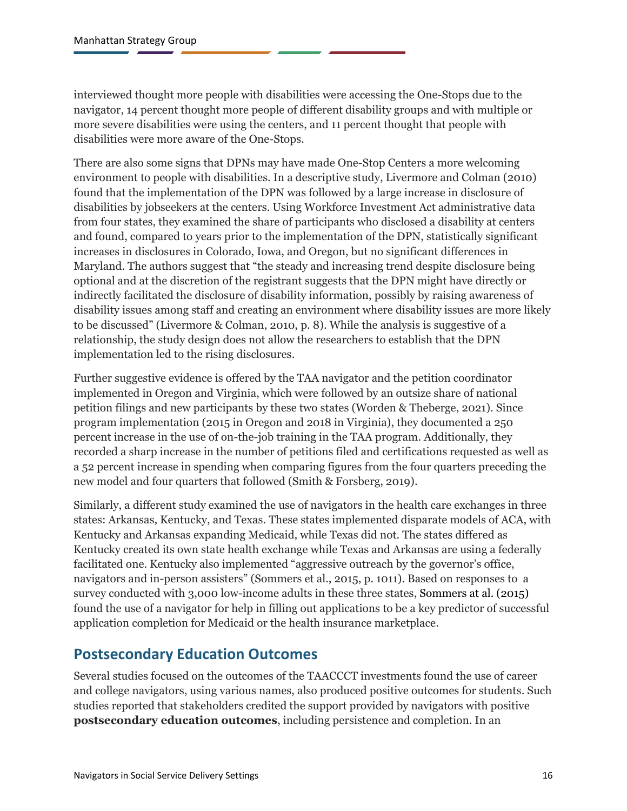interviewed thought more people with disabilities were accessing the One-Stops due to the navigator, 14 percent thought more people of different disability groups and with multiple or more severe disabilities were using the centers, and 11 percent thought that people with disabilities were more aware of the One-Stops.

There are also some signs that DPNs may have made One-Stop Centers a more welcoming environment to people with disabilities. In a descriptive study, Livermore and Colman (2010) found that the implementation of the DPN was followed by a large increase in disclosure of disabilities by jobseekers at the centers. Using Workforce Investment Act administrative data from four states, they examined the share of participants who disclosed a disability at centers and found, compared to years prior to the implementation of the DPN, statistically significant increases in disclosures in Colorado, Iowa, and Oregon, but no significant differences in Maryland. The authors suggest that "the steady and increasing trend despite disclosure being optional and at the discretion of the registrant suggests that the DPN might have directly or indirectly facilitated the disclosure of disability information, possibly by raising awareness of disability issues among staff and creating an environment where disability issues are more likely to be discussed" (Livermore & Colman, 2010, p. 8). While the analysis is suggestive of a relationship, the study design does not allow the researchers to establish that the DPN implementation led to the rising disclosures.

Further suggestive evidence is offered by the TAA navigator and the petition coordinator implemented in Oregon and Virginia, which were followed by an outsize share of national petition filings and new participants by these two states (Worden & Theberge, 2021). Since program implementation (2015 in Oregon and 2018 in Virginia), they documented a 250 percent increase in the use of on-the-job training in the TAA program. Additionally, they recorded a sharp increase in the number of petitions filed and certifications requested as well as a 52 percent increase in spending when comparing figures from the four quarters preceding the new model and four quarters that followed (Smith & Forsberg, 2019).

Similarly, a different study examined the use of navigators in the health care exchanges in three states: Arkansas, Kentucky, and Texas. These states implemented disparate models of ACA, with Kentucky and Arkansas expanding Medicaid, while Texas did not. The states differed as Kentucky created its own state health exchange while Texas and Arkansas are using a federally facilitated one. Kentucky also implemented "aggressive outreach by the governor's office, navigators and in-person assisters" (Sommers et al., 2015, p. 1011). Based on responses to a survey conducted with 3,000 low-income adults in these three states, Sommers at al. (2015) found the use of a navigator for help in filling out applications to be a key predictor of successful application completion for Medicaid or the health insurance marketplace.

#### <span id="page-18-0"></span>**Postsecondary Education Outcomes**

Several studies focused on the outcomes of the TAACCCT investments found the use of career and college navigators, using various names, also produced positive outcomes for students. Such studies reported that stakeholders credited the support provided by navigators with positive **postsecondary education outcomes**, including persistence and completion. In an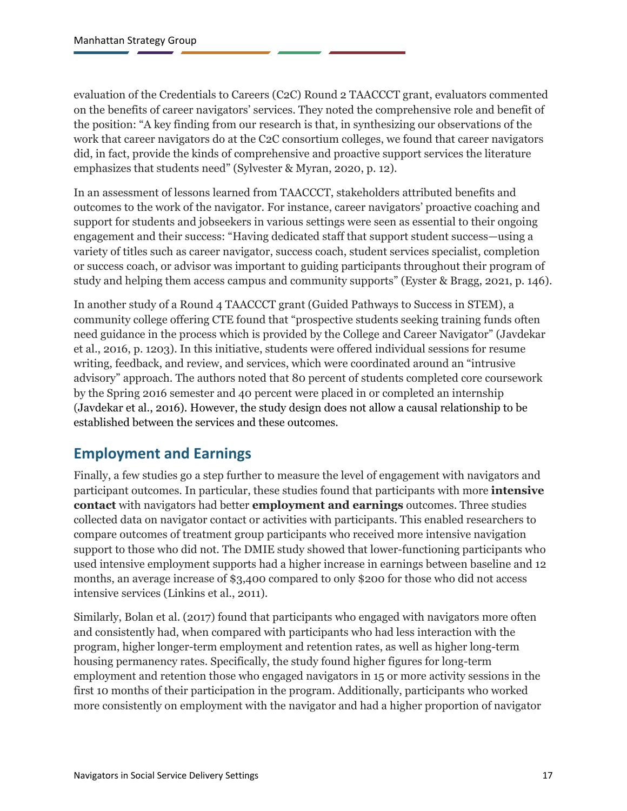evaluation of the Credentials to Careers (C2C) Round 2 TAACCCT grant, evaluators commented on the benefits of career navigators' services. They noted the comprehensive role and benefit of the position: "A key finding from our research is that, in synthesizing our observations of the work that career navigators do at the C2C consortium colleges, we found that career navigators did, in fact, provide the kinds of comprehensive and proactive support services the literature emphasizes that students need" (Sylvester & Myran, 2020, p. 12).

In an assessment of lessons learned from TAACCCT, stakeholders attributed benefits and outcomes to the work of the navigator. For instance, career navigators' proactive coaching and support for students and jobseekers in various settings were seen as essential to their ongoing engagement and their success: "Having dedicated staff that support student success—using a variety of titles such as career navigator, success coach, student services specialist, completion or success coach, or advisor was important to guiding participants throughout their program of study and helping them access campus and community supports" (Eyster & Bragg, 2021, p. 146).

In another study of a Round 4 TAACCCT grant (Guided Pathways to Success in STEM), a community college offering CTE found that "prospective students seeking training funds often need guidance in the process which is provided by the College and Career Navigator" (Javdekar et al., 2016, p. 1203). In this initiative, students were offered individual sessions for resume writing, feedback, and review, and services, which were coordinated around an "intrusive advisory" approach. The authors noted that 80 percent of students completed core coursework by the Spring 2016 semester and 40 percent were placed in or completed an internship (Javdekar et al., 2016). However, the study design does not allow a causal relationship to be established between the services and these outcomes.

#### <span id="page-19-0"></span>**Employment and Earnings**

Finally, a few studies go a step further to measure the level of engagement with navigators and participant outcomes. In particular, these studies found that participants with more **intensive contact** with navigators had better **employment and earnings** outcomes. Three studies collected data on navigator contact or activities with participants. This enabled researchers to compare outcomes of treatment group participants who received more intensive navigation support to those who did not. The DMIE study showed that lower-functioning participants who used intensive employment supports had a higher increase in earnings between baseline and 12 months, an average increase of \$3,400 compared to only \$200 for those who did not access intensive services (Linkins et al., 2011).

Similarly, Bolan et al. (2017) found that participants who engaged with navigators more often and consistently had, when compared with participants who had less interaction with the program, higher longer-term employment and retention rates, as well as higher long-term housing permanency rates. Specifically, the study found higher figures for long-term employment and retention those who engaged navigators in 15 or more activity sessions in the first 10 months of their participation in the program. Additionally, participants who worked more consistently on employment with the navigator and had a higher proportion of navigator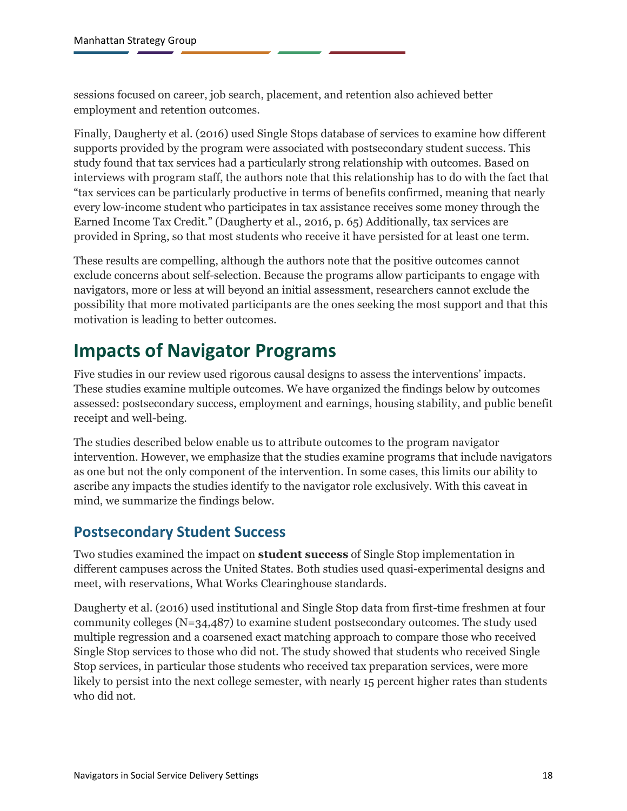sessions focused on career, job search, placement, and retention also achieved better employment and retention outcomes.

Finally, Daugherty et al. (2016) used Single Stops database of services to examine how different supports provided by the program were associated with postsecondary student success. This study found that tax services had a particularly strong relationship with outcomes. Based on interviews with program staff, the authors note that this relationship has to do with the fact that "tax services can be particularly productive in terms of benefits confirmed, meaning that nearly every low-income student who participates in tax assistance receives some money through the Earned Income Tax Credit." (Daugherty et al., 2016, p. 65) Additionally, tax services are provided in Spring, so that most students who receive it have persisted for at least one term.

These results are compelling, although the authors note that the positive outcomes cannot exclude concerns about self-selection. Because the programs allow participants to engage with navigators, more or less at will beyond an initial assessment, researchers cannot exclude the possibility that more motivated participants are the ones seeking the most support and that this motivation is leading to better outcomes.

### <span id="page-20-0"></span>**Impacts of Navigator Programs**

Five studies in our review used rigorous causal designs to assess the interventions' impacts. These studies examine multiple outcomes. We have organized the findings below by outcomes assessed: postsecondary success, employment and earnings, housing stability, and public benefit receipt and well-being.

The studies described below enable us to attribute outcomes to the program navigator intervention. However, we emphasize that the studies examine programs that include navigators as one but not the only component of the intervention. In some cases, this limits our ability to ascribe any impacts the studies identify to the navigator role exclusively. With this caveat in mind, we summarize the findings below.

### <span id="page-20-1"></span>**Postsecondary Student Success**

Two studies examined the impact on **student success** of Single Stop implementation in different campuses across the United States. Both studies used quasi-experimental designs and meet, with reservations, What Works Clearinghouse standards.

Daugherty et al. (2016) used institutional and Single Stop data from first-time freshmen at four community colleges (N=34,487) to examine student postsecondary outcomes. The study used multiple regression and a coarsened exact matching approach to compare those who received Single Stop services to those who did not. The study showed that students who received Single Stop services, in particular those students who received tax preparation services, were more likely to persist into the next college semester, with nearly 15 percent higher rates than students who did not.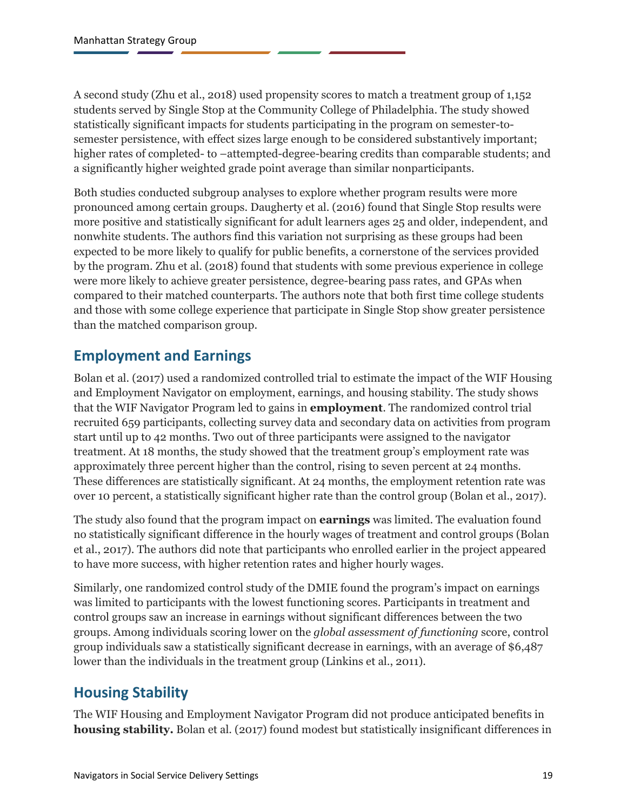A second study (Zhu et al., 2018) used propensity scores to match a treatment group of 1,152 students served by Single Stop at the Community College of Philadelphia. The study showed statistically significant impacts for students participating in the program on semester-tosemester persistence, with effect sizes large enough to be considered substantively important; higher rates of completed- to –attempted-degree-bearing credits than comparable students; and a significantly higher weighted grade point average than similar nonparticipants.

Both studies conducted subgroup analyses to explore whether program results were more pronounced among certain groups. Daugherty et al. (2016) found that Single Stop results were more positive and statistically significant for adult learners ages 25 and older, independent, and nonwhite students. The authors find this variation not surprising as these groups had been expected to be more likely to qualify for public benefits, a cornerstone of the services provided by the program. Zhu et al. (2018) found that students with some previous experience in college were more likely to achieve greater persistence, degree-bearing pass rates, and GPAs when compared to their matched counterparts. The authors note that both first time college students and those with some college experience that participate in Single Stop show greater persistence than the matched comparison group.

### <span id="page-21-0"></span>**Employment and Earnings**

Bolan et al. (2017) used a randomized controlled trial to estimate the impact of the WIF Housing and Employment Navigator on employment, earnings, and housing stability. The study shows that the WIF Navigator Program led to gains in **employment**. The randomized control trial recruited 659 participants, collecting survey data and secondary data on activities from program start until up to 42 months. Two out of three participants were assigned to the navigator treatment. At 18 months, the study showed that the treatment group's employment rate was approximately three percent higher than the control, rising to seven percent at 24 months. These differences are statistically significant. At 24 months, the employment retention rate was over 10 percent, a statistically significant higher rate than the control group (Bolan et al., 2017).

The study also found that the program impact on **earnings** was limited. The evaluation found no statistically significant difference in the hourly wages of treatment and control groups (Bolan et al., 2017). The authors did note that participants who enrolled earlier in the project appeared to have more success, with higher retention rates and higher hourly wages.

Similarly, one randomized control study of the DMIE found the program's impact on earnings was limited to participants with the lowest functioning scores. Participants in treatment and control groups saw an increase in earnings without significant differences between the two groups. Among individuals scoring lower on the *global assessment of functioning* score, control group individuals saw a statistically significant decrease in earnings, with an average of \$6,487 lower than the individuals in the treatment group (Linkins et al., 2011).

### <span id="page-21-1"></span>**Housing Stability**

The WIF Housing and Employment Navigator Program did not produce anticipated benefits in **housing stability.** Bolan et al. (2017) found modest but statistically insignificant differences in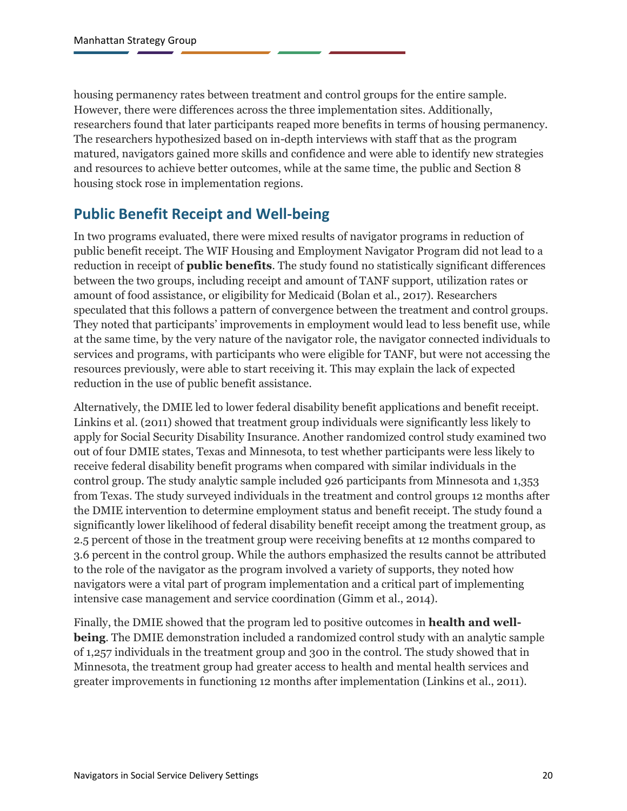housing permanency rates between treatment and control groups for the entire sample. However, there were differences across the three implementation sites. Additionally, researchers found that later participants reaped more benefits in terms of housing permanency. The researchers hypothesized based on in-depth interviews with staff that as the program matured, navigators gained more skills and confidence and were able to identify new strategies and resources to achieve better outcomes, while at the same time, the public and Section 8 housing stock rose in implementation regions.

### <span id="page-22-0"></span>**Public Benefit Receipt and Well-being**

In two programs evaluated, there were mixed results of navigator programs in reduction of public benefit receipt. The WIF Housing and Employment Navigator Program did not lead to a reduction in receipt of **public benefits**. The study found no statistically significant differences between the two groups, including receipt and amount of TANF support, utilization rates or amount of food assistance, or eligibility for Medicaid (Bolan et al., 2017). Researchers speculated that this follows a pattern of convergence between the treatment and control groups. They noted that participants' improvements in employment would lead to less benefit use, while at the same time, by the very nature of the navigator role, the navigator connected individuals to services and programs, with participants who were eligible for TANF, but were not accessing the resources previously, were able to start receiving it. This may explain the lack of expected reduction in the use of public benefit assistance.

Alternatively, the DMIE led to lower federal disability benefit applications and benefit receipt. Linkins et al. (2011) showed that treatment group individuals were significantly less likely to apply for Social Security Disability Insurance. Another randomized control study examined two out of four DMIE states, Texas and Minnesota, to test whether participants were less likely to receive federal disability benefit programs when compared with similar individuals in the control group. The study analytic sample included 926 participants from Minnesota and 1,353 from Texas. The study surveyed individuals in the treatment and control groups 12 months after the DMIE intervention to determine employment status and benefit receipt. The study found a significantly lower likelihood of federal disability benefit receipt among the treatment group, as 2.5 percent of those in the treatment group were receiving benefits at 12 months compared to 3.6 percent in the control group. While the authors emphasized the results cannot be attributed to the role of the navigator as the program involved a variety of supports, they noted how navigators were a vital part of program implementation and a critical part of implementing intensive case management and service coordination (Gimm et al., 2014).

Finally, the DMIE showed that the program led to positive outcomes in **health and wellbeing**. The DMIE demonstration included a randomized control study with an analytic sample of 1,257 individuals in the treatment group and 300 in the control. The study showed that in Minnesota, the treatment group had greater access to health and mental health services and greater improvements in functioning 12 months after implementation (Linkins et al., 2011).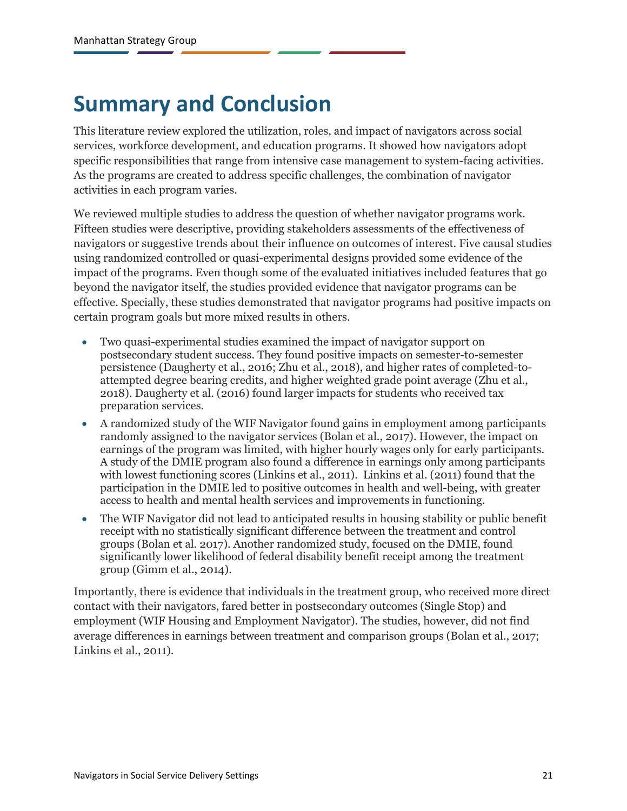## <span id="page-23-0"></span>**Summary and Conclusion**

This literature review explored the utilization, roles, and impact of navigators across social services, workforce development, and education programs. It showed how navigators adopt specific responsibilities that range from intensive case management to system-facing activities. As the programs are created to address specific challenges, the combination of navigator activities in each program varies.

We reviewed multiple studies to address the question of whether navigator programs work. Fifteen studies were descriptive, providing stakeholders assessments of the effectiveness of navigators or suggestive trends about their influence on outcomes of interest. Five causal studies using randomized controlled or quasi-experimental designs provided some evidence of the impact of the programs. Even though some of the evaluated initiatives included features that go beyond the navigator itself, the studies provided evidence that navigator programs can be effective. Specially, these studies demonstrated that navigator programs had positive impacts on certain program goals but more mixed results in others.

- Two quasi-experimental studies examined the impact of navigator support on postsecondary student success. They found positive impacts on semester-to-semester persistence (Daugherty et al., 2016; Zhu et al., 2018), and higher rates of completed-toattempted degree bearing credits, and higher weighted grade point average (Zhu et al., 2018). Daugherty et al. (2016) found larger impacts for students who received tax preparation services.
- A randomized study of the WIF Navigator found gains in employment among participants randomly assigned to the navigator services (Bolan et al., 2017). However, the impact on earnings of the program was limited, with higher hourly wages only for early participants. A study of the DMIE program also found a difference in earnings only among participants with lowest functioning scores (Linkins et al., 2011). Linkins et al. (2011) found that the participation in the DMIE led to positive outcomes in health and well-being, with greater access to health and mental health services and improvements in functioning.
- The WIF Navigator did not lead to anticipated results in housing stability or public benefit receipt with no statistically significant difference between the treatment and control groups (Bolan et al. 2017). Another randomized study, focused on the DMIE, found significantly lower likelihood of federal disability benefit receipt among the treatment group (Gimm et al., 2014).

Importantly, there is evidence that individuals in the treatment group, who received more direct contact with their navigators, fared better in postsecondary outcomes (Single Stop) and employment (WIF Housing and Employment Navigator). The studies, however, did not find average differences in earnings between treatment and comparison groups (Bolan et al., 2017; Linkins et al., 2011).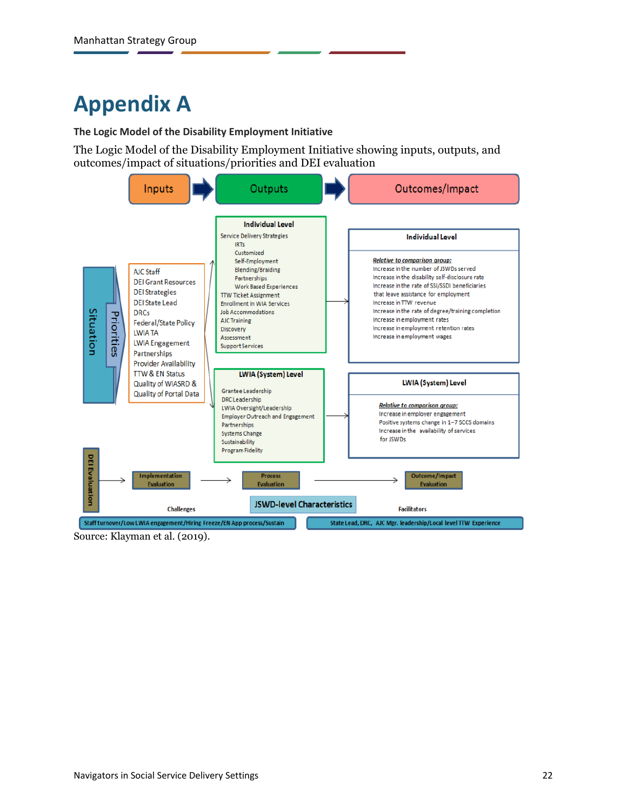# <span id="page-24-0"></span>**Appendix A**

**The Logic Model of the Disability Employment Initiative**

The Logic Model of the Disability Employment Initiative showing inputs, outputs, and outcomes/impact of situations/priorities and DEI evaluation



Source: Klayman et al. (2019).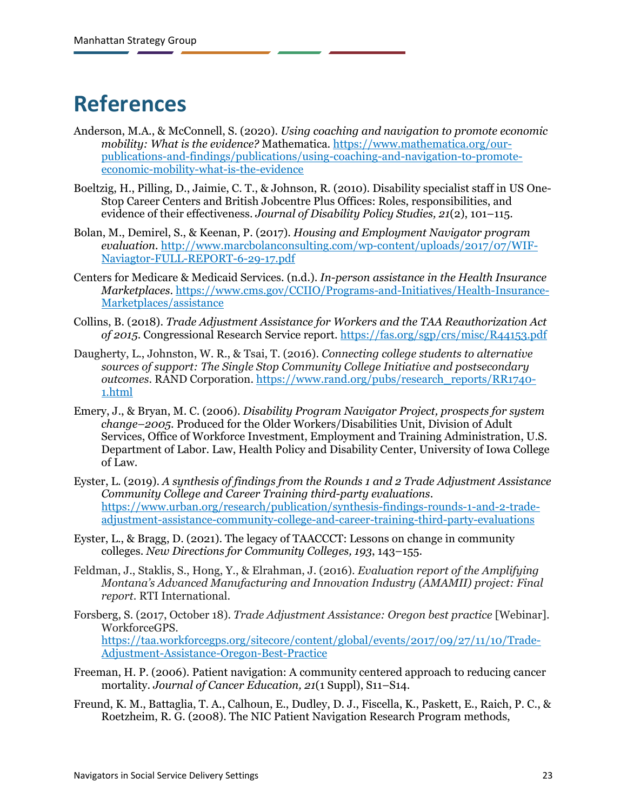## <span id="page-25-0"></span>**References**

- Anderson, M.A., & McConnell, S. (2020). *Using coaching and navigation to promote economic mobility: What is the evidence?* Mathematica. [https://www.mathematica.org/our](https://www.mathematica.org/our-publications-and-findings/publications/using-coaching-and-navigation-to-promote-economic-mobility-what-is-the-evidence)[publications-and-findings/publications/using-coaching-and-navigation-to-promote](https://www.mathematica.org/our-publications-and-findings/publications/using-coaching-and-navigation-to-promote-economic-mobility-what-is-the-evidence)[economic-mobility-what-is-the-evidence](https://www.mathematica.org/our-publications-and-findings/publications/using-coaching-and-navigation-to-promote-economic-mobility-what-is-the-evidence)
- Boeltzig, H., Pilling, D., Jaimie, C. T., & Johnson, R. (2010). Disability specialist staff in US One-Stop Career Centers and British Jobcentre Plus Offices: Roles, responsibilities, and evidence of their effectiveness. *Journal of Disability Policy Studies, 21*(2), 101–115.
- Bolan, M., Demirel, S., & Keenan, P. (2017). *Housing and Employment Navigator program evaluation*. [http://www.marcbolanconsulting.com/wp-content/uploads/2017/07/WIF-](http://www.marcbolanconsulting.com/wp-content/uploads/2017/07/WIF-Naviagtor-FULL-REPORT-6-29-17.pdf)[Naviagtor-FULL-REPORT-6-29-17.pdf](http://www.marcbolanconsulting.com/wp-content/uploads/2017/07/WIF-Naviagtor-FULL-REPORT-6-29-17.pdf)
- Centers for Medicare & Medicaid Services. (n.d.). *In-person assistance in the Health Insurance Marketplaces*[. https://www.cms.gov/CCIIO/Programs-and-Initiatives/Health-Insurance-](https://www.cms.gov/CCIIO/Programs-and-Initiatives/Health-Insurance-Marketplaces/assistance)[Marketplaces/assistance](https://www.cms.gov/CCIIO/Programs-and-Initiatives/Health-Insurance-Marketplaces/assistance)
- Collins, B. (2018). *Trade Adjustment Assistance for Workers and the TAA Reauthorization Act of 2015*. Congressional Research Service report.<https://fas.org/sgp/crs/misc/R44153.pdf>
- Daugherty, L., Johnston, W. R., & Tsai, T. (2016). *Connecting college students to alternative sources of support: The Single Stop Community College Initiative and postsecondary outcomes*. RAND Corporation. [https://www.rand.org/pubs/research\\_reports/RR1740-](https://www.rand.org/pubs/research_reports/RR1740-1.html) [1.html](https://www.rand.org/pubs/research_reports/RR1740-1.html)
- Emery, J., & Bryan, M. C. (2006). *Disability Program Navigator Project, prospects for system change–2005*. Produced for the Older Workers/Disabilities Unit, Division of Adult Services, Office of Workforce Investment, Employment and Training Administration, U.S. Department of Labor. Law, Health Policy and Disability Center, University of Iowa College of Law.
- Eyster, L. (2019). *A synthesis of findings from the Rounds 1 and 2 Trade Adjustment Assistance Community College and Career Training third-party evaluations*. [https://www.urban.org/research/publication/synthesis-findings-rounds-1-and-2-trade](https://www.urban.org/research/publication/synthesis-findings-rounds-1-and-2-trade-adjustment-assistance-community-college-and-career-training-third-party-evaluations)[adjustment-assistance-community-college-and-career-training-third-party-evaluations](https://www.urban.org/research/publication/synthesis-findings-rounds-1-and-2-trade-adjustment-assistance-community-college-and-career-training-third-party-evaluations)
- Eyster, L., & Bragg, D. (2021). The legacy of TAACCCT: Lessons on change in community colleges. *New Directions for Community Colleges, 193*, 143–155.
- Feldman, J., Staklis, S., Hong, Y., & Elrahman, J. (2016). *Evaluation report of the Amplifying Montana's Advanced Manufacturing and Innovation Industry (AMAMII) project: Final report*. RTI International.
- Forsberg, S. (2017, October 18). *Trade Adjustment Assistance: Oregon best practice* [Webinar]. WorkforceGPS. [https://taa.workforcegps.org/sitecore/content/global/events/2017/09/27/11/10/Trade-](https://taa.workforcegps.org/sitecore/content/global/events/2017/09/27/11/10/Trade-Adjustment-Assistance-Oregon-Best-Practice)[Adjustment-Assistance-Oregon-Best-Practice](https://taa.workforcegps.org/sitecore/content/global/events/2017/09/27/11/10/Trade-Adjustment-Assistance-Oregon-Best-Practice)
- Freeman, H. P. (2006). Patient navigation: A community centered approach to reducing cancer mortality. *Journal of Cancer Education, 21*(1 Suppl), S11–S14.
- Freund, K. M., Battaglia, T. A., Calhoun, E., Dudley, D. J., Fiscella, K., Paskett, E., Raich, P. C., & Roetzheim, R. G. (2008). The NIC Patient Navigation Research Program methods,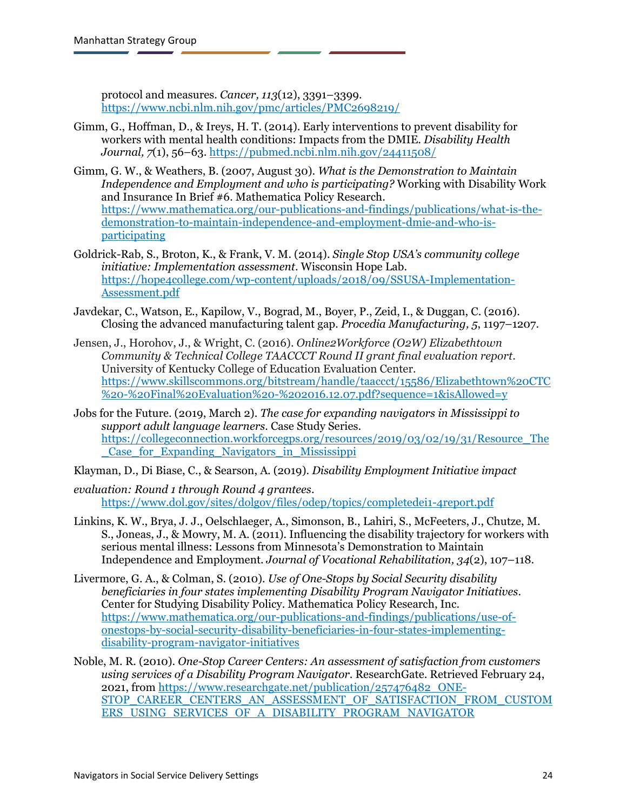protocol and measures. *Cancer, 113*(12), 3391–3399. <https://www.ncbi.nlm.nih.gov/pmc/articles/PMC2698219/>

- Gimm, G., Hoffman, D., & Ireys, H. T. (2014). Early interventions to prevent disability for workers with mental health conditions: Impacts from the DMIE. *Disability Health Journal, 7*(1), 56–63. <https://pubmed.ncbi.nlm.nih.gov/24411508/>
- Gimm, G. W., & Weathers, B. (2007, August 30). *What is the Demonstration to Maintain Independence and Employment and who is participating?* Working with Disability Work and Insurance In Brief #6. Mathematica Policy Research. [https://www.mathematica.org/our-publications-and-findings/publications/what-is-the](https://www.mathematica.org/our-publications-and-findings/publications/what-is-the-demonstration-to-maintain-independence-and-employment-dmie-and-who-is-participating)[demonstration-to-maintain-independence-and-employment-dmie-and-who-is](https://www.mathematica.org/our-publications-and-findings/publications/what-is-the-demonstration-to-maintain-independence-and-employment-dmie-and-who-is-participating)[participating](https://www.mathematica.org/our-publications-and-findings/publications/what-is-the-demonstration-to-maintain-independence-and-employment-dmie-and-who-is-participating)
- Goldrick-Rab, S., Broton, K., & Frank, V. M. (2014). *Single Stop USA's community college initiative: Implementation assessment*. Wisconsin Hope Lab. [https://hope4college.com/wp-content/uploads/2018/09/SSUSA-Implementation-](https://hope4college.com/wp-content/uploads/2018/09/SSUSA-Implementation-Assessment.pdf)[Assessment.pdf](https://hope4college.com/wp-content/uploads/2018/09/SSUSA-Implementation-Assessment.pdf)
- Javdekar, C., Watson, E., Kapilow, V., Bograd, M., Boyer, P., Zeid, I., & Duggan, C. (2016). Closing the advanced manufacturing talent gap. *Procedia Manufacturing, 5*, 1197–1207.
- Jensen, J., Horohov, J., & Wright, C. (2016). *Online2Workforce (O2W) Elizabethtown Community & Technical College TAACCCT Round II grant final evaluation report*. University of Kentucky College of Education Evaluation Center. [https://www.skillscommons.org/bitstream/handle/taaccct/15586/Elizabethtown%20CTC](https://www.skillscommons.org/bitstream/handle/taaccct/15586/Elizabethtown%20CTC%20-%20Final%20Evaluation%20-%202016.12.07.pdf?sequence=1&isAllowed=y) [%20-%20Final%20Evaluation%20-%202016.12.07.pdf?sequence=1&isAllowed=y](https://www.skillscommons.org/bitstream/handle/taaccct/15586/Elizabethtown%20CTC%20-%20Final%20Evaluation%20-%202016.12.07.pdf?sequence=1&isAllowed=y)
- Jobs for the Future. (2019, March 2). *The case for expanding navigators in Mississippi to support adult language learners*. Case Study Series. [https://collegeconnection.workforcegps.org/resources/2019/03/02/19/31/Resource\\_The](https://collegeconnection.workforcegps.org/resources/2019/03/02/19/31/Resource_The_Case_for_Expanding_Navigators_in_Mississippi) [\\_Case\\_for\\_Expanding\\_Navigators\\_in\\_Mississippi](https://collegeconnection.workforcegps.org/resources/2019/03/02/19/31/Resource_The_Case_for_Expanding_Navigators_in_Mississippi)

Klayman, D., Di Biase, C., & Searson, A. (2019). *Disability Employment Initiative impact* 

- *evaluation: Round 1 through Round 4 grantees*. <https://www.dol.gov/sites/dolgov/files/odep/topics/completedei1-4report.pdf>
- Linkins, K. W., Brya, J. J., Oelschlaeger, A., Simonson, B., Lahiri, S., McFeeters, J., Chutze, M. S., Joneas, J., & Mowry, M. A. (2011). Influencing the disability trajectory for workers with serious mental illness: Lessons from Minnesota's Demonstration to Maintain Independence and Employment. *Journal of Vocational Rehabilitation, 34*(2), 107–118.
- Livermore, G. A., & Colman, S. (2010). *Use of One-Stops by Social Security disability beneficiaries in four states implementing Disability Program Navigator Initiatives*. Center for Studying Disability Policy. Mathematica Policy Research, Inc. [https://www.mathematica.org/our-publications-and-findings/publications/use-of](https://www.mathematica.org/our-publications-and-findings/publications/use-of-onestops-by-social-security-disability-beneficiaries-in-four-states-implementing-disability-program-navigator-initiatives)[onestops-by-social-security-disability-beneficiaries-in-four-states-implementing](https://www.mathematica.org/our-publications-and-findings/publications/use-of-onestops-by-social-security-disability-beneficiaries-in-four-states-implementing-disability-program-navigator-initiatives)[disability-program-navigator-initiatives](https://www.mathematica.org/our-publications-and-findings/publications/use-of-onestops-by-social-security-disability-beneficiaries-in-four-states-implementing-disability-program-navigator-initiatives)
- Noble, M. R. (2010). *One-Stop Career Centers: An assessment of satisfaction from customers using services of a Disability Program Navigator*. ResearchGate. Retrieved February 24, 2021, fro[m https://www.researchgate.net/publication/257476482\\_ONE-](https://www.researchgate.net/publication/257476482_ONE-STOP_CAREER_CENTERS_AN_ASSESSMENT_OF_SATISFACTION_FROM_CUSTOMERS_USING_SERVICES_OF_A_DISABILITY_PROGRAM_NAVIGATOR)[STOP\\_CAREER\\_CENTERS\\_AN\\_ASSESSMENT\\_OF\\_SATISFACTION\\_FROM\\_CUSTOM](https://www.researchgate.net/publication/257476482_ONE-STOP_CAREER_CENTERS_AN_ASSESSMENT_OF_SATISFACTION_FROM_CUSTOMERS_USING_SERVICES_OF_A_DISABILITY_PROGRAM_NAVIGATOR) [ERS\\_USING\\_SERVICES\\_OF\\_A\\_DISABILITY\\_PROGRAM\\_NAVIGATOR](https://www.researchgate.net/publication/257476482_ONE-STOP_CAREER_CENTERS_AN_ASSESSMENT_OF_SATISFACTION_FROM_CUSTOMERS_USING_SERVICES_OF_A_DISABILITY_PROGRAM_NAVIGATOR)